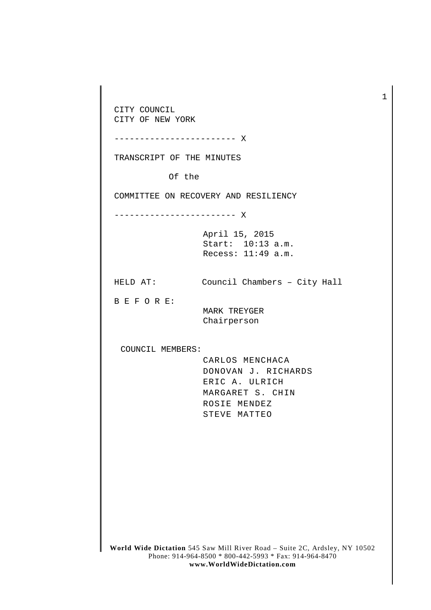CITY COUNCIL CITY OF NEW YORK ------------------------ X TRANSCRIPT OF THE MINUTES Of the COMMITTEE ON RECOVERY AND RESILIENCY ------------------------ X April 15, 2015 Start: 10:13 a.m. Recess: 11:49 a.m. HELD AT: Council Chambers – City Hall B E F O R E: MARK TREYGER Chairperson COUNCIL MEMBERS: CARLOS MENCHACA DONOVAN J. RICHARDS ERIC A. ULRICH MARGARET S. CHIN ROSIE MENDEZ STEVE MATTEO

1

**World Wide Dictation** 545 Saw Mill River Road – Suite 2C, Ardsley, NY 10502 Phone: 914-964-8500 \* 800-442-5993 \* Fax: 914-964-8470 **www.WorldWideDictation.com**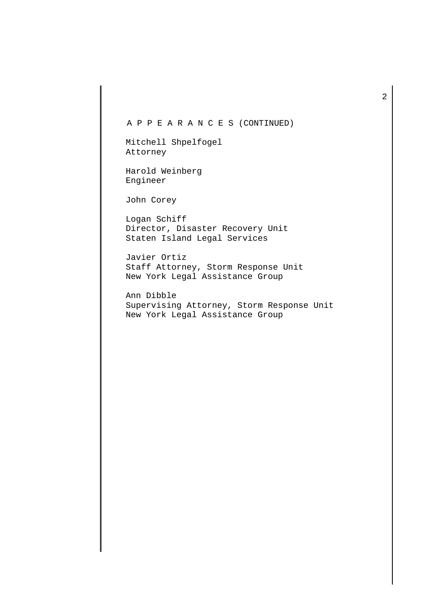## A P P E A R A N C E S (CONTINUED)

Mitchell Shpelfogel Attorney

Harold Weinberg Engineer

John Corey

Logan Schiff Director, Disaster Recovery Unit Staten Island Legal Services

Javier Ortiz Staff Attorney, Storm Response Unit New York Legal Assistance Group

Ann Dibble Supervising Attorney, Storm Response Unit New York Legal Assistance Group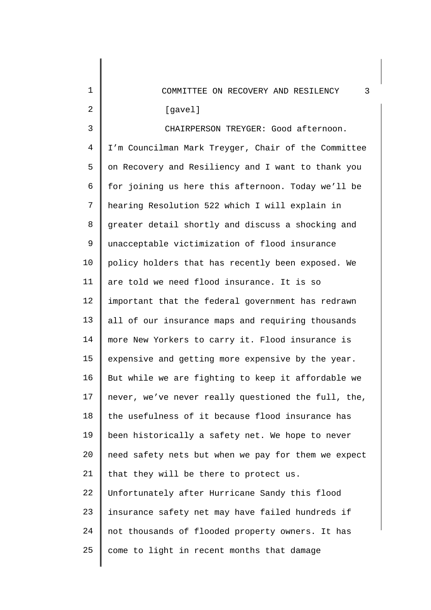| 1              | 3<br>COMMITTEE ON RECOVERY AND RESILENCY            |
|----------------|-----------------------------------------------------|
| 2              | [gavel]                                             |
| 3              | CHAIRPERSON TREYGER: Good afternoon.                |
| $\overline{4}$ | I'm Councilman Mark Treyger, Chair of the Committee |
| 5              | on Recovery and Resiliency and I want to thank you  |
| 6              | for joining us here this afternoon. Today we'll be  |
| 7              | hearing Resolution 522 which I will explain in      |
| 8              | greater detail shortly and discuss a shocking and   |
| 9              | unacceptable victimization of flood insurance       |
| 10             | policy holders that has recently been exposed. We   |
| 11             | are told we need flood insurance. It is so          |
| 12             | important that the federal government has redrawn   |
| 13             | all of our insurance maps and requiring thousands   |
| 14             | more New Yorkers to carry it. Flood insurance is    |
| 15             | expensive and getting more expensive by the year.   |
| 16             | But while we are fighting to keep it affordable we  |
| 17             | never, we've never really questioned the full, the, |
| 18             | the usefulness of it because flood insurance has    |
| 19             | been historically a safety net. We hope to never    |
| 20             | need safety nets but when we pay for them we expect |
| 21             | that they will be there to protect us.              |
| 22             | Unfortunately after Hurricane Sandy this flood      |
| 23             | insurance safety net may have failed hundreds if    |
| 24             | not thousands of flooded property owners. It has    |
| 25             | come to light in recent months that damage          |
|                |                                                     |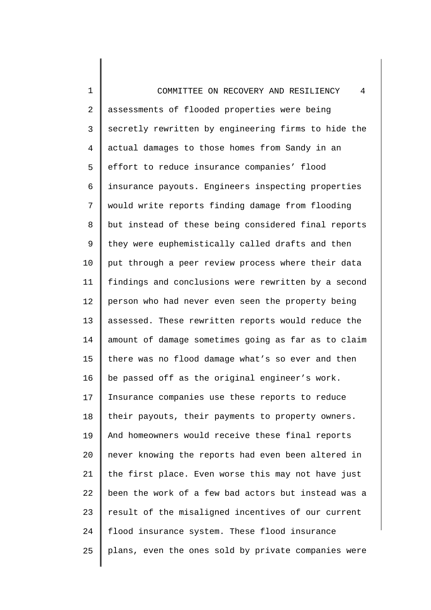1 2 3 4 5 6 7 8 9 10 11 12 13 14 15 16 17 18 19 20 21 22 23 24 25 COMMITTEE ON RECOVERY AND RESILIENCY 4 assessments of flooded properties were being secretly rewritten by engineering firms to hide the actual damages to those homes from Sandy in an effort to reduce insurance companies' flood insurance payouts. Engineers inspecting properties would write reports finding damage from flooding but instead of these being considered final reports they were euphemistically called drafts and then put through a peer review process where their data findings and conclusions were rewritten by a second person who had never even seen the property being assessed. These rewritten reports would reduce the amount of damage sometimes going as far as to claim there was no flood damage what's so ever and then be passed off as the original engineer's work. Insurance companies use these reports to reduce their payouts, their payments to property owners. And homeowners would receive these final reports never knowing the reports had even been altered in the first place. Even worse this may not have just been the work of a few bad actors but instead was a result of the misaligned incentives of our current flood insurance system. These flood insurance plans, even the ones sold by private companies were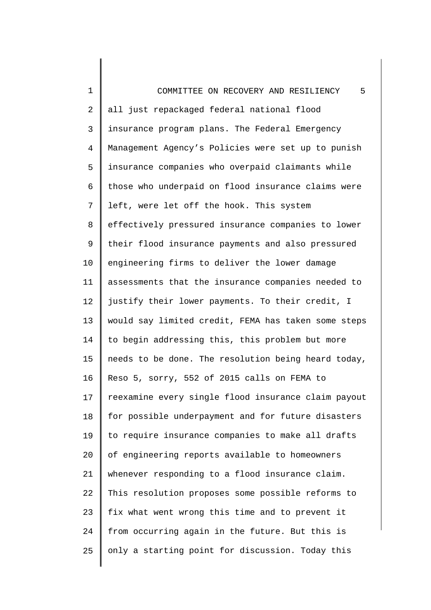1 2 3 4 5 6 7 8 9 10 11 12 13 14 15 16 17 18 19 20 21 22 23 24 25 COMMITTEE ON RECOVERY AND RESILIENCY 5 all just repackaged federal national flood insurance program plans. The Federal Emergency Management Agency's Policies were set up to punish insurance companies who overpaid claimants while those who underpaid on flood insurance claims were left, were let off the hook. This system effectively pressured insurance companies to lower their flood insurance payments and also pressured engineering firms to deliver the lower damage assessments that the insurance companies needed to justify their lower payments. To their credit, I would say limited credit, FEMA has taken some steps to begin addressing this, this problem but more needs to be done. The resolution being heard today, Reso 5, sorry, 552 of 2015 calls on FEMA to reexamine every single flood insurance claim payout for possible underpayment and for future disasters to require insurance companies to make all drafts of engineering reports available to homeowners whenever responding to a flood insurance claim. This resolution proposes some possible reforms to fix what went wrong this time and to prevent it from occurring again in the future. But this is only a starting point for discussion. Today this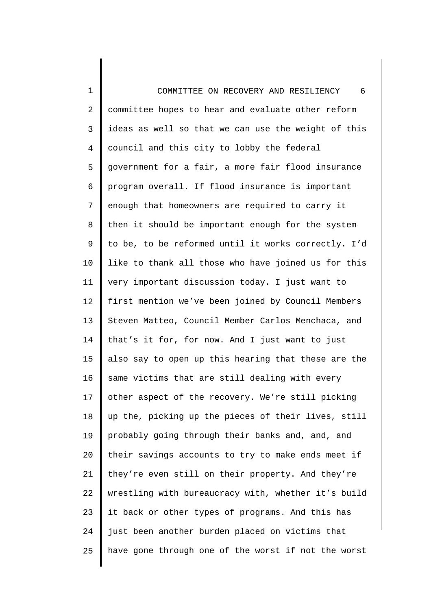1 2 3 4 5 6 7 8 9 10 11 12 13 14 15 16 17 18 19 20 21 22 23 24 25 COMMITTEE ON RECOVERY AND RESILIENCY 6 committee hopes to hear and evaluate other reform ideas as well so that we can use the weight of this council and this city to lobby the federal government for a fair, a more fair flood insurance program overall. If flood insurance is important enough that homeowners are required to carry it then it should be important enough for the system to be, to be reformed until it works correctly. I'd like to thank all those who have joined us for this very important discussion today. I just want to first mention we've been joined by Council Members Steven Matteo, Council Member Carlos Menchaca, and that's it for, for now. And I just want to just also say to open up this hearing that these are the same victims that are still dealing with every other aspect of the recovery. We're still picking up the, picking up the pieces of their lives, still probably going through their banks and, and, and their savings accounts to try to make ends meet if they're even still on their property. And they're wrestling with bureaucracy with, whether it's build it back or other types of programs. And this has just been another burden placed on victims that have gone through one of the worst if not the worst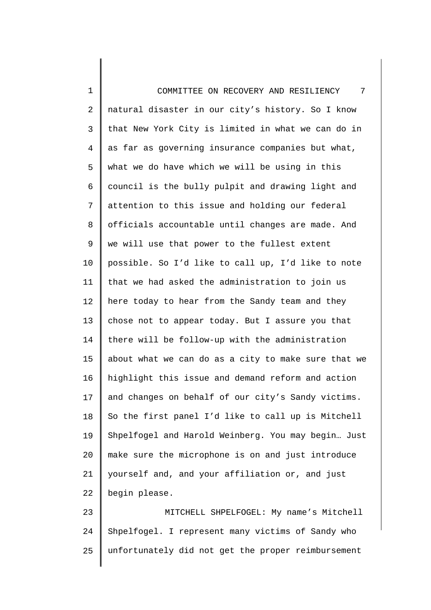1 2 3 4 5 6 7 8 9 10 11 12 13 14 15 16 17 18 19 20 21 22 23 24 COMMITTEE ON RECOVERY AND RESILIENCY 7 natural disaster in our city's history. So I know that New York City is limited in what we can do in as far as governing insurance companies but what, what we do have which we will be using in this council is the bully pulpit and drawing light and attention to this issue and holding our federal officials accountable until changes are made. And we will use that power to the fullest extent possible. So I'd like to call up, I'd like to note that we had asked the administration to join us here today to hear from the Sandy team and they chose not to appear today. But I assure you that there will be follow-up with the administration about what we can do as a city to make sure that we highlight this issue and demand reform and action and changes on behalf of our city's Sandy victims. So the first panel I'd like to call up is Mitchell Shpelfogel and Harold Weinberg. You may begin… Just make sure the microphone is on and just introduce yourself and, and your affiliation or, and just begin please. MITCHELL SHPELFOGEL: My name's Mitchell Shpelfogel. I represent many victims of Sandy who

unfortunately did not get the proper reimbursement

25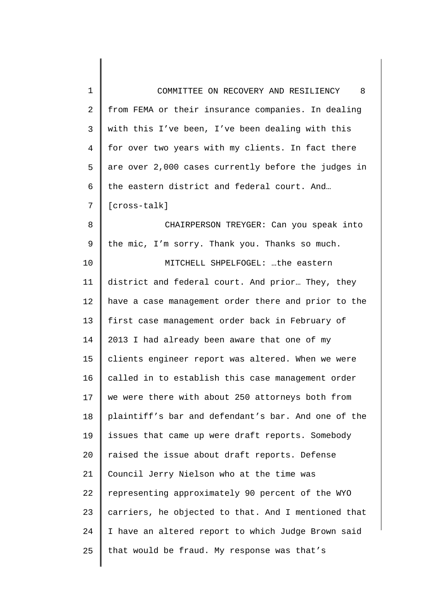| 1              | COMMITTEE ON RECOVERY AND RESILIENCY 8              |
|----------------|-----------------------------------------------------|
| 2              | from FEMA or their insurance companies. In dealing  |
| 3              | with this I've been, I've been dealing with this    |
| $\overline{4}$ | for over two years with my clients. In fact there   |
| 5              | are over 2,000 cases currently before the judges in |
| 6              | the eastern district and federal court. And         |
| 7              | [cross-talk]                                        |
| 8              | CHAIRPERSON TREYGER: Can you speak into             |
| 9              | the mic, I'm sorry. Thank you. Thanks so much.      |
| 10             | MITCHELL SHPELFOGEL: the eastern                    |
| 11             | district and federal court. And prior They, they    |
| 12             | have a case management order there and prior to the |
| 13             | first case management order back in February of     |
| 14             | 2013 I had already been aware that one of my        |
| 15             | clients engineer report was altered. When we were   |
| 16             | called in to establish this case management order   |
| 17             | we were there with about 250 attorneys both from    |
| 18             | plaintiff's bar and defendant's bar. And one of the |
| 19             | issues that came up were draft reports. Somebody    |
| 20             | raised the issue about draft reports. Defense       |
| 21             | Council Jerry Nielson who at the time was           |
| 22             | representing approximately 90 percent of the WYO    |
| 23             | carriers, he objected to that. And I mentioned that |
| 24             | I have an altered report to which Judge Brown said  |
| 25             | that would be fraud. My response was that's         |
|                |                                                     |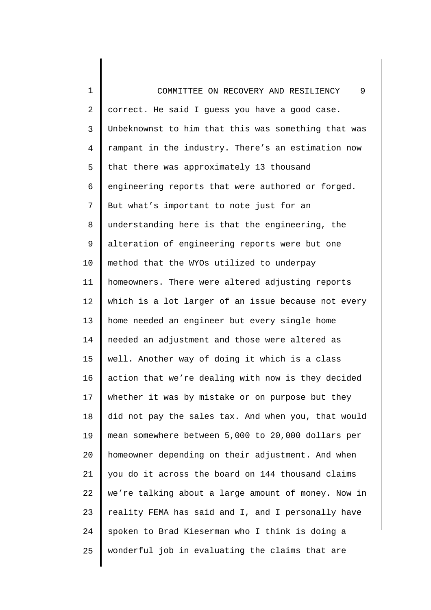1 2 3 4 5 6 7 8 9 10 11 12 13 14 15 16 17 18 19 20 21 22 23 24 25 COMMITTEE ON RECOVERY AND RESILIENCY 9 correct. He said I guess you have a good case. Unbeknownst to him that this was something that was rampant in the industry. There's an estimation now that there was approximately 13 thousand engineering reports that were authored or forged. But what's important to note just for an understanding here is that the engineering, the alteration of engineering reports were but one method that the WYOs utilized to underpay homeowners. There were altered adjusting reports which is a lot larger of an issue because not every home needed an engineer but every single home needed an adjustment and those were altered as well. Another way of doing it which is a class action that we're dealing with now is they decided whether it was by mistake or on purpose but they did not pay the sales tax. And when you, that would mean somewhere between 5,000 to 20,000 dollars per homeowner depending on their adjustment. And when you do it across the board on 144 thousand claims we're talking about a large amount of money. Now in reality FEMA has said and I, and I personally have spoken to Brad Kieserman who I think is doing a wonderful job in evaluating the claims that are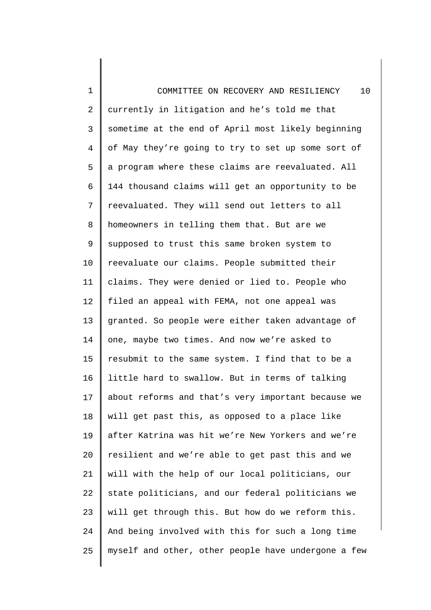1 2 3 4 5 6 7 8 9 10 11 12 13 14 15 16 17 18 19 20 21 22 23 24 25 COMMITTEE ON RECOVERY AND RESILIENCY 10 currently in litigation and he's told me that sometime at the end of April most likely beginning of May they're going to try to set up some sort of a program where these claims are reevaluated. All 144 thousand claims will get an opportunity to be reevaluated. They will send out letters to all homeowners in telling them that. But are we supposed to trust this same broken system to reevaluate our claims. People submitted their claims. They were denied or lied to. People who filed an appeal with FEMA, not one appeal was granted. So people were either taken advantage of one, maybe two times. And now we're asked to resubmit to the same system. I find that to be a little hard to swallow. But in terms of talking about reforms and that's very important because we will get past this, as opposed to a place like after Katrina was hit we're New Yorkers and we're resilient and we're able to get past this and we will with the help of our local politicians, our state politicians, and our federal politicians we will get through this. But how do we reform this. And being involved with this for such a long time myself and other, other people have undergone a few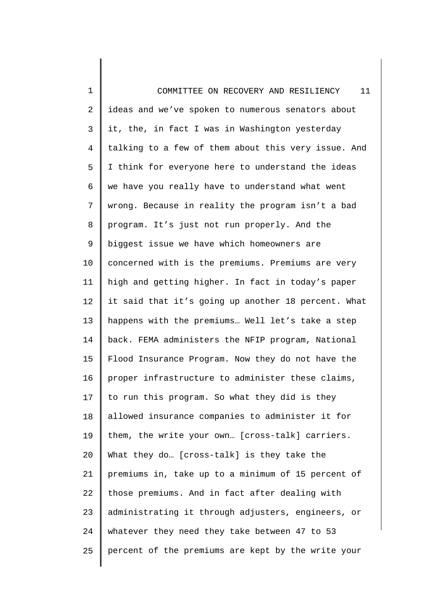| 1              | 11<br>COMMITTEE ON RECOVERY AND RESILIENCY          |
|----------------|-----------------------------------------------------|
| $\overline{2}$ | ideas and we've spoken to numerous senators about   |
| 3              | it, the, in fact I was in Washington yesterday      |
| $\overline{4}$ | talking to a few of them about this very issue. And |
| 5              | I think for everyone here to understand the ideas   |
| 6              | we have you really have to understand what went     |
| 7              | wrong. Because in reality the program isn't a bad   |
| 8              | program. It's just not run properly. And the        |
| 9              | biggest issue we have which homeowners are          |
| 10             | concerned with is the premiums. Premiums are very   |
| 11             | high and getting higher. In fact in today's paper   |
| 12             | it said that it's going up another 18 percent. What |
| 13             | happens with the premiums Well let's take a step    |
| 14             | back. FEMA administers the NFIP program, National   |
| 15             | Flood Insurance Program. Now they do not have the   |
| 16             | proper infrastructure to administer these claims,   |
| 17             | to run this program. So what they did is they       |
| 18             | allowed insurance companies to administer it for    |
| 19             | them, the write your own [cross-talk] carriers.     |
| 20             | What they do [cross-talk] is they take the          |
| 21             | premiums in, take up to a minimum of 15 percent of  |
| 22             | those premiums. And in fact after dealing with      |
| 23             | administrating it through adjusters, engineers, or  |
| 24             | whatever they need they take between 47 to 53       |
| 25             | percent of the premiums are kept by the write your  |
|                |                                                     |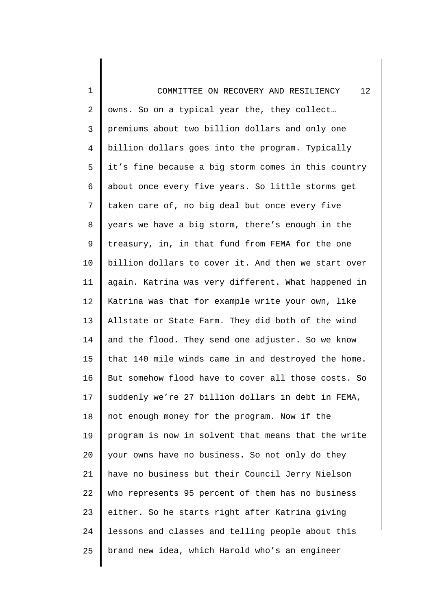1 2 3 4 5 6 7 8 9 10 11 12 13 14 15 16 17 18 19 20 21 22 23 24 25 COMMITTEE ON RECOVERY AND RESILIENCY 12 owns. So on a typical year the, they collect… premiums about two billion dollars and only one billion dollars goes into the program. Typically it's fine because a big storm comes in this country about once every five years. So little storms get taken care of, no big deal but once every five years we have a big storm, there's enough in the treasury, in, in that fund from FEMA for the one billion dollars to cover it. And then we start over again. Katrina was very different. What happened in Katrina was that for example write your own, like Allstate or State Farm. They did both of the wind and the flood. They send one adjuster. So we know that 140 mile winds came in and destroyed the home. But somehow flood have to cover all those costs. So suddenly we're 27 billion dollars in debt in FEMA, not enough money for the program. Now if the program is now in solvent that means that the write your owns have no business. So not only do they have no business but their Council Jerry Nielson who represents 95 percent of them has no business either. So he starts right after Katrina giving lessons and classes and telling people about this brand new idea, which Harold who's an engineer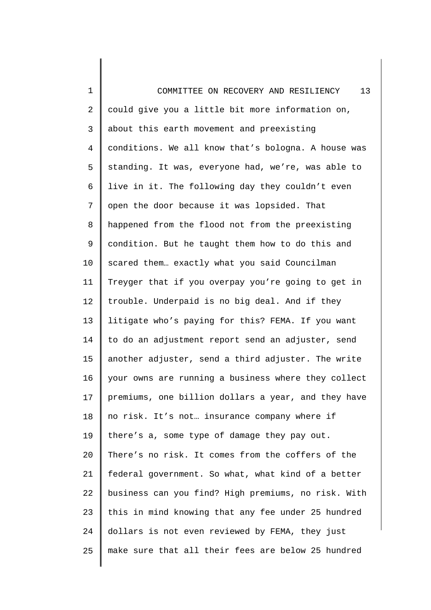| 1              | 13<br>COMMITTEE ON RECOVERY AND RESILIENCY          |
|----------------|-----------------------------------------------------|
| 2              | could give you a little bit more information on,    |
| 3              | about this earth movement and preexisting           |
| $\overline{4}$ | conditions. We all know that's bologna. A house was |
| 5              | standing. It was, everyone had, we're, was able to  |
| 6              | live in it. The following day they couldn't even    |
| 7              | open the door because it was lopsided. That         |
| 8              | happened from the flood not from the preexisting    |
| $\mathsf 9$    | condition. But he taught them how to do this and    |
| 10             | scared them exactly what you said Councilman        |
| 11             | Treyger that if you overpay you're going to get in  |
| 12             | trouble. Underpaid is no big deal. And if they      |
| 13             | litigate who's paying for this? FEMA. If you want   |
| 14             | to do an adjustment report send an adjuster, send   |
| 15             | another adjuster, send a third adjuster. The write  |
| 16             | your owns are running a business where they collect |
| 17             | premiums, one billion dollars a year, and they have |
| 18             | no risk. It's not insurance company where if        |
| 19             | there's a, some type of damage they pay out.        |
| 20             | There's no risk. It comes from the coffers of the   |
| 21             | federal government. So what, what kind of a better  |
| 22             | business can you find? High premiums, no risk. With |
| 23             | this in mind knowing that any fee under 25 hundred  |
| 24             | dollars is not even reviewed by FEMA, they just     |
| 25             | make sure that all their fees are below 25 hundred  |
|                |                                                     |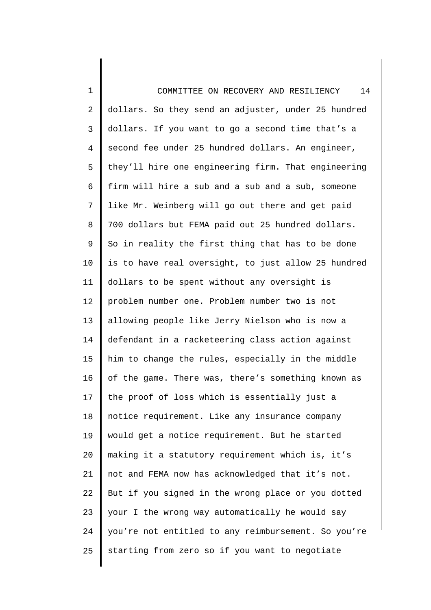1 2 3 4 5 6 7 8 9 10 11 12 13 14 15 16 17 18 19 20 21 22 23 24 25 COMMITTEE ON RECOVERY AND RESILIENCY 14 dollars. So they send an adjuster, under 25 hundred dollars. If you want to go a second time that's a second fee under 25 hundred dollars. An engineer, they'll hire one engineering firm. That engineering firm will hire a sub and a sub and a sub, someone like Mr. Weinberg will go out there and get paid 700 dollars but FEMA paid out 25 hundred dollars. So in reality the first thing that has to be done is to have real oversight, to just allow 25 hundred dollars to be spent without any oversight is problem number one. Problem number two is not allowing people like Jerry Nielson who is now a defendant in a racketeering class action against him to change the rules, especially in the middle of the game. There was, there's something known as the proof of loss which is essentially just a notice requirement. Like any insurance company would get a notice requirement. But he started making it a statutory requirement which is, it's not and FEMA now has acknowledged that it's not. But if you signed in the wrong place or you dotted your I the wrong way automatically he would say you're not entitled to any reimbursement. So you're starting from zero so if you want to negotiate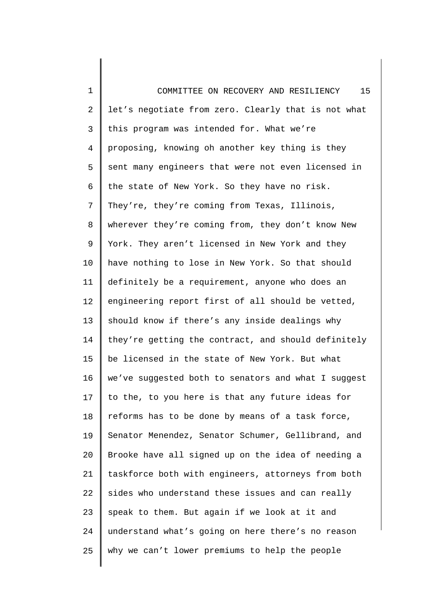1 2 3 4 5 6 7 8 9 10 11 12 13 14 15 16 17 18 19 20 21 22 23 24 25 COMMITTEE ON RECOVERY AND RESILIENCY 15 let's negotiate from zero. Clearly that is not what this program was intended for. What we're proposing, knowing oh another key thing is they sent many engineers that were not even licensed in the state of New York. So they have no risk. They're, they're coming from Texas, Illinois, wherever they're coming from, they don't know New York. They aren't licensed in New York and they have nothing to lose in New York. So that should definitely be a requirement, anyone who does an engineering report first of all should be vetted, should know if there's any inside dealings why they're getting the contract, and should definitely be licensed in the state of New York. But what we've suggested both to senators and what I suggest to the, to you here is that any future ideas for reforms has to be done by means of a task force, Senator Menendez, Senator Schumer, Gellibrand, and Brooke have all signed up on the idea of needing a taskforce both with engineers, attorneys from both sides who understand these issues and can really speak to them. But again if we look at it and understand what's going on here there's no reason why we can't lower premiums to help the people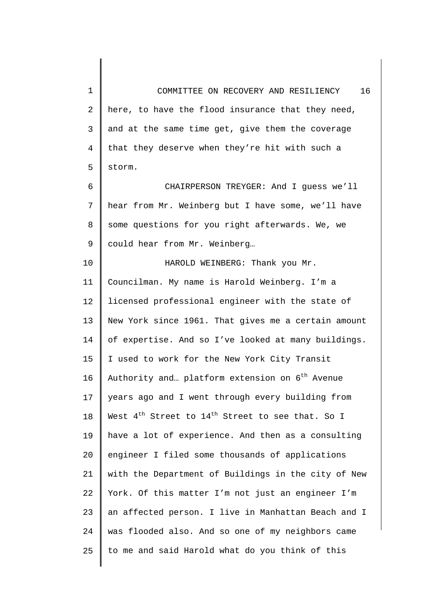1 2 3 4 5 COMMITTEE ON RECOVERY AND RESILIENCY 16 here, to have the flood insurance that they need, and at the same time get, give them the coverage that they deserve when they're hit with such a storm.

6 7 8 9 CHAIRPERSON TREYGER: And I guess we'll hear from Mr. Weinberg but I have some, we'll have some questions for you right afterwards. We, we could hear from Mr. Weinberg…

10 11 12 13 14 15 16 17 18 19 20 21 22 23 24 25 HAROLD WEINBERG: Thank you Mr. Councilman. My name is Harold Weinberg. I'm a licensed professional engineer with the state of New York since 1961. That gives me a certain amount of expertise. And so I've looked at many buildings. I used to work for the New York City Transit Authority and... platform extension on  $6<sup>th</sup>$  Avenue years ago and I went through every building from West  $4^{\text{th}}$  Street to  $14^{\text{th}}$  Street to see that. So I have a lot of experience. And then as a consulting engineer I filed some thousands of applications with the Department of Buildings in the city of New York. Of this matter I'm not just an engineer I'm an affected person. I live in Manhattan Beach and I was flooded also. And so one of my neighbors came to me and said Harold what do you think of this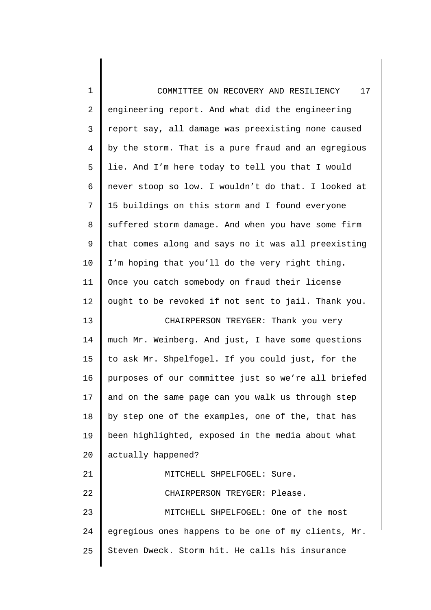| $\mathbf 1$    | 17<br>COMMITTEE ON RECOVERY AND RESILIENCY          |
|----------------|-----------------------------------------------------|
| $\overline{2}$ | engineering report. And what did the engineering    |
| 3              | report say, all damage was preexisting none caused  |
| $\overline{4}$ | by the storm. That is a pure fraud and an egregious |
| 5              | lie. And I'm here today to tell you that I would    |
| 6              | never stoop so low. I wouldn't do that. I looked at |
| 7              | 15 buildings on this storm and I found everyone     |
| 8              | suffered storm damage. And when you have some firm  |
| $\mathsf 9$    | that comes along and says no it was all preexisting |
| 10             | I'm hoping that you'll do the very right thing.     |
| 11             | Once you catch somebody on fraud their license      |
| 12             | ought to be revoked if not sent to jail. Thank you. |
| 13             | CHAIRPERSON TREYGER: Thank you very                 |
| 14             | much Mr. Weinberg. And just, I have some questions  |
| 15             | to ask Mr. Shpelfogel. If you could just, for the   |
| 16             | purposes of our committee just so we're all briefed |
| 17             | and on the same page can you walk us through step   |
| 18             | by step one of the examples, one of the, that has   |
| 19             | been highlighted, exposed in the media about what   |
| 20             | actually happened?                                  |
| 21             | MITCHELL SHPELFOGEL: Sure.                          |
| 22             | CHAIRPERSON TREYGER: Please.                        |
| 23             | MITCHELL SHPELFOGEL: One of the most                |
| 24             | egregious ones happens to be one of my clients, Mr. |
| 25             | Steven Dweck. Storm hit. He calls his insurance     |
|                |                                                     |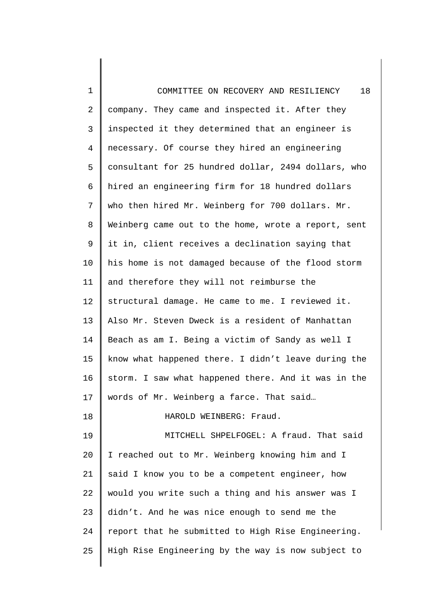| $\mathbf 1$    | 18<br>COMMITTEE ON RECOVERY AND RESILIENCY          |
|----------------|-----------------------------------------------------|
| $\overline{a}$ | company. They came and inspected it. After they     |
| 3              | inspected it they determined that an engineer is    |
| 4              | necessary. Of course they hired an engineering      |
| 5              | consultant for 25 hundred dollar, 2494 dollars, who |
| 6              | hired an engineering firm for 18 hundred dollars    |
| 7              | who then hired Mr. Weinberg for 700 dollars. Mr.    |
| 8              | Weinberg came out to the home, wrote a report, sent |
| 9              | it in, client receives a declination saying that    |
| 10             | his home is not damaged because of the flood storm  |
| 11             | and therefore they will not reimburse the           |
| 12             | structural damage. He came to me. I reviewed it.    |
| 13             | Also Mr. Steven Dweck is a resident of Manhattan    |
| 14             | Beach as am I. Being a victim of Sandy as well I    |
| 15             | know what happened there. I didn't leave during the |
| 16             | storm. I saw what happened there. And it was in the |
| 17             | words of Mr. Weinberg a farce. That said            |
| 18             | HAROLD WEINBERG: Fraud.                             |
| 19             | MITCHELL SHPELFOGEL: A fraud. That said             |
| 20             | I reached out to Mr. Weinberg knowing him and I     |
| 21             | said I know you to be a competent engineer, how     |
| 22             | would you write such a thing and his answer was I   |
| 23             | didn't. And he was nice enough to send me the       |
| 24             | report that he submitted to High Rise Engineering.  |
| 25             | High Rise Engineering by the way is now subject to  |
|                |                                                     |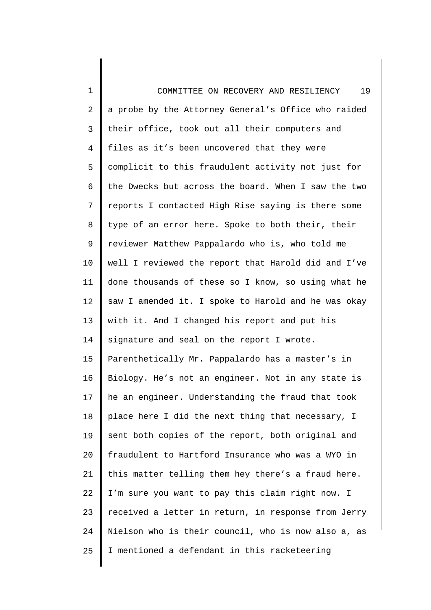| $\mathbf 1$    | 19<br>COMMITTEE ON RECOVERY AND RESILIENCY          |
|----------------|-----------------------------------------------------|
| 2              | a probe by the Attorney General's Office who raided |
| 3              | their office, took out all their computers and      |
| $\overline{4}$ | files as it's been uncovered that they were         |
| 5              | complicit to this fraudulent activity not just for  |
| 6              | the Dwecks but across the board. When I saw the two |
| 7              | reports I contacted High Rise saying is there some  |
| 8              | type of an error here. Spoke to both their, their   |
| $\mathsf 9$    | reviewer Matthew Pappalardo who is, who told me     |
| 10             | well I reviewed the report that Harold did and I've |
| 11             | done thousands of these so I know, so using what he |
| 12             | saw I amended it. I spoke to Harold and he was okay |
| 13             | with it. And I changed his report and put his       |
| 14             | signature and seal on the report I wrote.           |
| 15             | Parenthetically Mr. Pappalardo has a master's in    |
| 16             | Biology. He's not an engineer. Not in any state is  |
| 17             | he an engineer. Understanding the fraud that took   |
| 18             | place here I did the next thing that necessary, I   |
| 19             | sent both copies of the report, both original and   |
| 20             | fraudulent to Hartford Insurance who was a WYO in   |
| 21             | this matter telling them hey there's a fraud here.  |
| 22             | I'm sure you want to pay this claim right now. I    |
| 23             | received a letter in return, in response from Jerry |
| 24             | Nielson who is their council, who is now also a, as |
| 25             | I mentioned a defendant in this racketeering        |
|                |                                                     |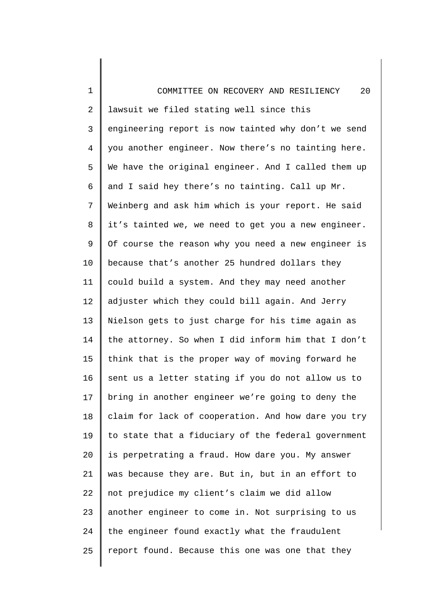| $\mathbf 1$    | 20<br>COMMITTEE ON RECOVERY AND RESILIENCY          |
|----------------|-----------------------------------------------------|
| 2              | lawsuit we filed stating well since this            |
| 3              | engineering report is now tainted why don't we send |
| $\overline{4}$ | you another engineer. Now there's no tainting here. |
| 5              | We have the original engineer. And I called them up |
| 6              | and I said hey there's no tainting. Call up Mr.     |
| 7              | Weinberg and ask him which is your report. He said  |
| 8              | it's tainted we, we need to get you a new engineer. |
| 9              | Of course the reason why you need a new engineer is |
| 10             | because that's another 25 hundred dollars they      |
| 11             | could build a system. And they may need another     |
| 12             | adjuster which they could bill again. And Jerry     |
| 13             | Nielson gets to just charge for his time again as   |
| 14             | the attorney. So when I did inform him that I don't |
| 15             | think that is the proper way of moving forward he   |
| 16             | sent us a letter stating if you do not allow us to  |
| 17             | bring in another engineer we're going to deny the   |
| 18             | claim for lack of cooperation. And how dare you try |
| 19             | to state that a fiduciary of the federal government |
| 20             | is perpetrating a fraud. How dare you. My answer    |
| 21             | was because they are. But in, but in an effort to   |
| 22             | not prejudice my client's claim we did allow        |
| 23             | another engineer to come in. Not surprising to us   |
| 24             | the engineer found exactly what the fraudulent      |
| 25             | report found. Because this one was one that they    |
|                |                                                     |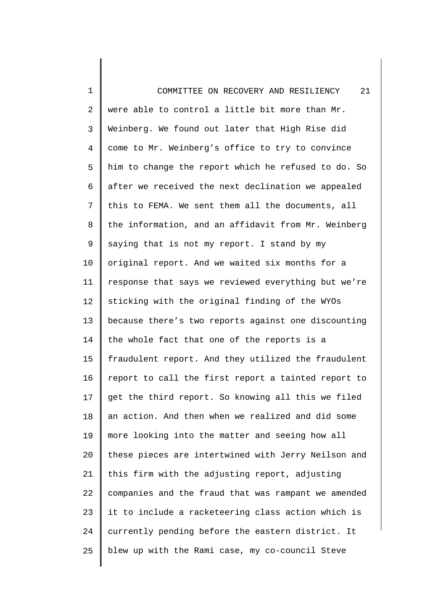| $\mathbf 1$    | 21<br>COMMITTEE ON RECOVERY AND RESILIENCY          |
|----------------|-----------------------------------------------------|
| $\overline{2}$ | were able to control a little bit more than Mr.     |
| 3              | Weinberg. We found out later that High Rise did     |
| $\overline{4}$ | come to Mr. Weinberg's office to try to convince    |
| 5              | him to change the report which he refused to do. So |
| 6              | after we received the next declination we appealed  |
| 7              | this to FEMA. We sent them all the documents, all   |
| 8              | the information, and an affidavit from Mr. Weinberg |
| $\mathsf 9$    | saying that is not my report. I stand by my         |
| 10             | original report. And we waited six months for a     |
| 11             | response that says we reviewed everything but we're |
| 12             | sticking with the original finding of the WYOs      |
| 13             | because there's two reports against one discounting |
| 14             | the whole fact that one of the reports is a         |
| 15             | fraudulent report. And they utilized the fraudulent |
| 16             | report to call the first report a tainted report to |
| 17             | get the third report. So knowing all this we filed  |
| 18             | an action. And then when we realized and did some   |
| 19             | more looking into the matter and seeing how all     |
| 20             | these pieces are intertwined with Jerry Neilson and |
| 21             | this firm with the adjusting report, adjusting      |
| 22             | companies and the fraud that was rampant we amended |
| 23             | it to include a racketeering class action which is  |
| 24             | currently pending before the eastern district. It   |
| 25             | blew up with the Rami case, my co-council Steve     |
|                |                                                     |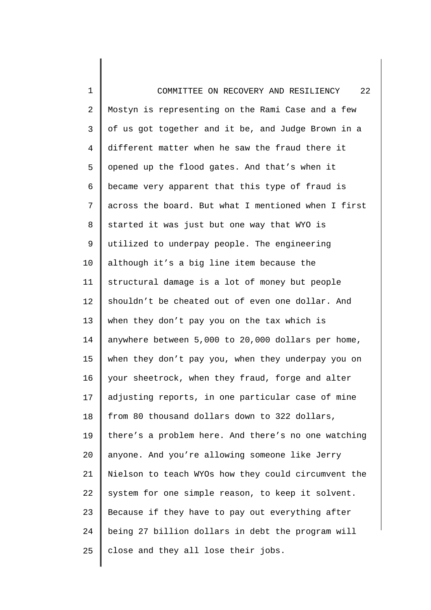1 2 3 4 5 6 7 8 9 10 11 12 13 14 15 16 17 18 19 20 21 22 23 24 25 COMMITTEE ON RECOVERY AND RESILIENCY 22 Mostyn is representing on the Rami Case and a few of us got together and it be, and Judge Brown in a different matter when he saw the fraud there it opened up the flood gates. And that's when it became very apparent that this type of fraud is across the board. But what I mentioned when I first started it was just but one way that WYO is utilized to underpay people. The engineering although it's a big line item because the structural damage is a lot of money but people shouldn't be cheated out of even one dollar. And when they don't pay you on the tax which is anywhere between 5,000 to 20,000 dollars per home, when they don't pay you, when they underpay you on your sheetrock, when they fraud, forge and alter adjusting reports, in one particular case of mine from 80 thousand dollars down to 322 dollars, there's a problem here. And there's no one watching anyone. And you're allowing someone like Jerry Nielson to teach WYOs how they could circumvent the system for one simple reason, to keep it solvent. Because if they have to pay out everything after being 27 billion dollars in debt the program will close and they all lose their jobs.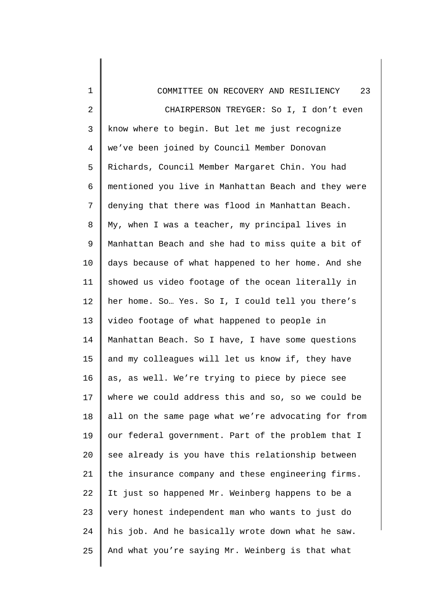| 1              | 23<br>COMMITTEE ON RECOVERY AND RESILIENCY          |
|----------------|-----------------------------------------------------|
| $\overline{2}$ | CHAIRPERSON TREYGER: So I, I don't even             |
| 3              | know where to begin. But let me just recognize      |
| 4              | we've been joined by Council Member Donovan         |
| 5              | Richards, Council Member Margaret Chin. You had     |
| б              | mentioned you live in Manhattan Beach and they were |
| 7              | denying that there was flood in Manhattan Beach.    |
| 8              | My, when I was a teacher, my principal lives in     |
| 9              | Manhattan Beach and she had to miss quite a bit of  |
| 10             | days because of what happened to her home. And she  |
| 11             | showed us video footage of the ocean literally in   |
| 12             | her home. So Yes. So I, I could tell you there's    |
| 13             | video footage of what happened to people in         |
| 14             | Manhattan Beach. So I have, I have some questions   |
| 15             | and my colleagues will let us know if, they have    |
| 16             | as, as well. We're trying to piece by piece see     |
| 17             | where we could address this and so, so we could be  |
| 18             | all on the same page what we're advocating for from |
| 19             | our federal government. Part of the problem that I  |
| 20             | see already is you have this relationship between   |
| 21             | the insurance company and these engineering firms.  |
| 22             | It just so happened Mr. Weinberg happens to be a    |
| 23             | very honest independent man who wants to just do    |
| 24             | his job. And he basically wrote down what he saw.   |
| 25             | And what you're saying Mr. Weinberg is that what    |
|                |                                                     |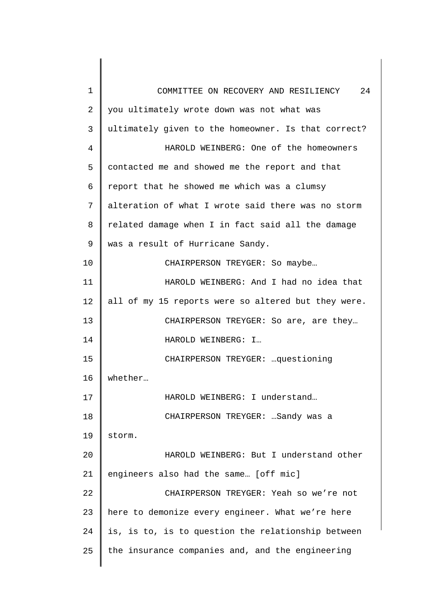| 1              | 24<br>COMMITTEE ON RECOVERY AND RESILIENCY          |
|----------------|-----------------------------------------------------|
| 2              | you ultimately wrote down was not what was          |
| 3              | ultimately given to the homeowner. Is that correct? |
| $\overline{4}$ | HAROLD WEINBERG: One of the homeowners              |
| 5              | contacted me and showed me the report and that      |
| 6              | report that he showed me which was a clumsy         |
| 7              | alteration of what I wrote said there was no storm  |
| 8              | related damage when I in fact said all the damage   |
| 9              | was a result of Hurricane Sandy.                    |
| 10             | CHAIRPERSON TREYGER: So maybe                       |
| 11             | HAROLD WEINBERG: And I had no idea that             |
| 12             | all of my 15 reports were so altered but they were. |
| 13             | CHAIRPERSON TREYGER: So are, are they               |
| 14             | HAROLD WEINBERG: I                                  |
| 15             | CHAIRPERSON TREYGER:  questioning                   |
| 16             | whether                                             |
| 17             | HAROLD WEINBERG: I understand                       |
| 18             | CHAIRPERSON TREYGER:  Sandy was a                   |
| 19             | storm.                                              |
| 20             | HAROLD WEINBERG: But I understand other             |
| 21             | engineers also had the same [off mic]               |
| 22             | CHAIRPERSON TREYGER: Yeah so we're not              |
| 23             | here to demonize every engineer. What we're here    |
| 24             | is, is to, is to question the relationship between  |
| 25             | the insurance companies and, and the engineering    |
|                |                                                     |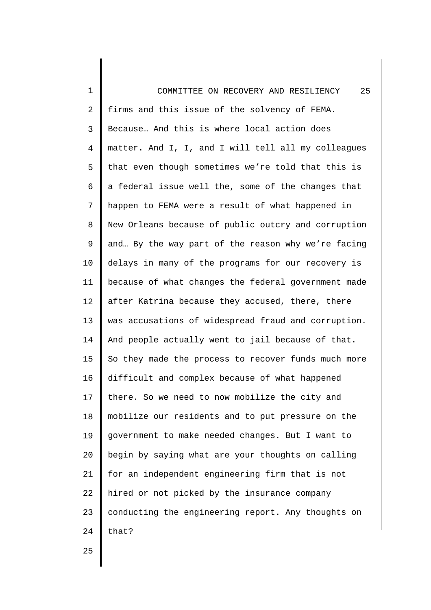1 2 3 4 5 6 7 8 9 10 11 12 13 14 15 16 17 18 19 20 21 22 23 24 COMMITTEE ON RECOVERY AND RESILIENCY 25 firms and this issue of the solvency of FEMA. Because… And this is where local action does matter. And I, I, and I will tell all my colleagues that even though sometimes we're told that this is a federal issue well the, some of the changes that happen to FEMA were a result of what happened in New Orleans because of public outcry and corruption and… By the way part of the reason why we're facing delays in many of the programs for our recovery is because of what changes the federal government made after Katrina because they accused, there, there was accusations of widespread fraud and corruption. And people actually went to jail because of that. So they made the process to recover funds much more difficult and complex because of what happened there. So we need to now mobilize the city and mobilize our residents and to put pressure on the government to make needed changes. But I want to begin by saying what are your thoughts on calling for an independent engineering firm that is not hired or not picked by the insurance company conducting the engineering report. Any thoughts on that?

25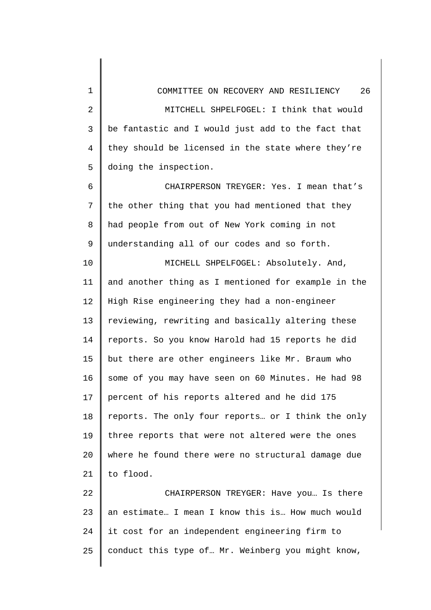1 2 3 4 5 6 7 8 9 10 11 12 13 14 15 16 17 18 19 20 21 22 23 24 COMMITTEE ON RECOVERY AND RESILIENCY 26 MITCHELL SHPELFOGEL: I think that would be fantastic and I would just add to the fact that they should be licensed in the state where they're doing the inspection. CHAIRPERSON TREYGER: Yes. I mean that's the other thing that you had mentioned that they had people from out of New York coming in not understanding all of our codes and so forth. MICHELL SHPELFOGEL: Absolutely. And, and another thing as I mentioned for example in the High Rise engineering they had a non-engineer reviewing, rewriting and basically altering these reports. So you know Harold had 15 reports he did but there are other engineers like Mr. Braum who some of you may have seen on 60 Minutes. He had 98 percent of his reports altered and he did 175 reports. The only four reports… or I think the only three reports that were not altered were the ones where he found there were no structural damage due to flood. CHAIRPERSON TREYGER: Have you… Is there an estimate… I mean I know this is… How much would it cost for an independent engineering firm to

conduct this type of… Mr. Weinberg you might know,

25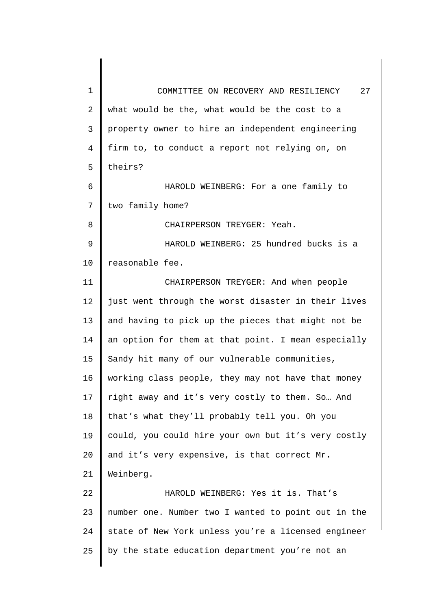| $\mathbf 1$ | 27<br>COMMITTEE ON RECOVERY AND RESILIENCY          |
|-------------|-----------------------------------------------------|
| 2           | what would be the, what would be the cost to a      |
| 3           | property owner to hire an independent engineering   |
| 4           | firm to, to conduct a report not relying on, on     |
| 5           | theirs?                                             |
| 6           | HAROLD WEINBERG: For a one family to                |
| 7           | two family home?                                    |
| 8           | CHAIRPERSON TREYGER: Yeah.                          |
| 9           | HAROLD WEINBERG: 25 hundred bucks is a              |
| 10          | reasonable fee.                                     |
| 11          | CHAIRPERSON TREYGER: And when people                |
| 12          | just went through the worst disaster in their lives |
| 13          | and having to pick up the pieces that might not be  |
| 14          | an option for them at that point. I mean especially |
| 15          | Sandy hit many of our vulnerable communities,       |
| 16          | working class people, they may not have that money  |
| 17          | right away and it's very costly to them. So And     |
| 18          | that's what they'll probably tell you. Oh you       |
| 19          | could, you could hire your own but it's very costly |
| 20          | and it's very expensive, is that correct Mr.        |
| 21          | Weinberg.                                           |
| 22          | HAROLD WEINBERG: Yes it is. That's                  |
| 23          | number one. Number two I wanted to point out in the |
| 24          | state of New York unless you're a licensed engineer |
| 25          | by the state education department you're not an     |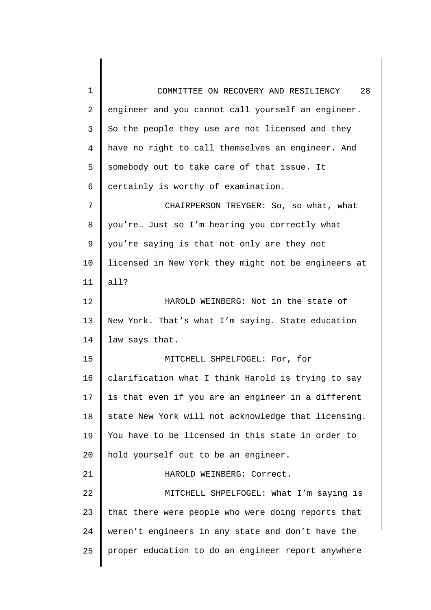1 2 3 4 5 6 7 8 9 10 11 12 13 14 15 16 17 18 19 20 21 22 23 24 25 COMMITTEE ON RECOVERY AND RESILIENCY 28 engineer and you cannot call yourself an engineer. So the people they use are not licensed and they have no right to call themselves an engineer. And somebody out to take care of that issue. It certainly is worthy of examination. CHAIRPERSON TREYGER: So, so what, what you're… Just so I'm hearing you correctly what you're saying is that not only are they not licensed in New York they might not be engineers at all? HAROLD WEINBERG: Not in the state of New York. That's what I'm saying. State education law says that. MITCHELL SHPELFOGEL: For, for clarification what I think Harold is trying to say is that even if you are an engineer in a different state New York will not acknowledge that licensing. You have to be licensed in this state in order to hold yourself out to be an engineer. HAROLD WEINBERG: Correct. MITCHELL SHPELFOGEL: What I'm saying is that there were people who were doing reports that weren't engineers in any state and don't have the proper education to do an engineer report anywhere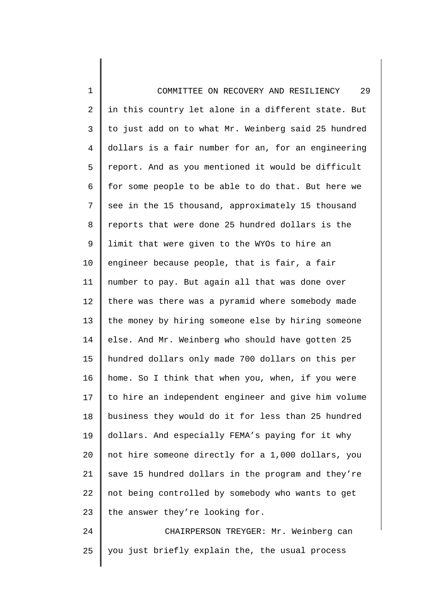1 2 3 4 5 6 7 8 9 10 11 12 13 14 15 16 17 18 19 20 21 22 23 24 COMMITTEE ON RECOVERY AND RESILIENCY 29 in this country let alone in a different state. But to just add on to what Mr. Weinberg said 25 hundred dollars is a fair number for an, for an engineering report. And as you mentioned it would be difficult for some people to be able to do that. But here we see in the 15 thousand, approximately 15 thousand reports that were done 25 hundred dollars is the limit that were given to the WYOs to hire an engineer because people, that is fair, a fair number to pay. But again all that was done over there was there was a pyramid where somebody made the money by hiring someone else by hiring someone else. And Mr. Weinberg who should have gotten 25 hundred dollars only made 700 dollars on this per home. So I think that when you, when, if you were to hire an independent engineer and give him volume business they would do it for less than 25 hundred dollars. And especially FEMA's paying for it why not hire someone directly for a 1,000 dollars, you save 15 hundred dollars in the program and they're not being controlled by somebody who wants to get the answer they're looking for. CHAIRPERSON TREYGER: Mr. Weinberg can

25

you just briefly explain the, the usual process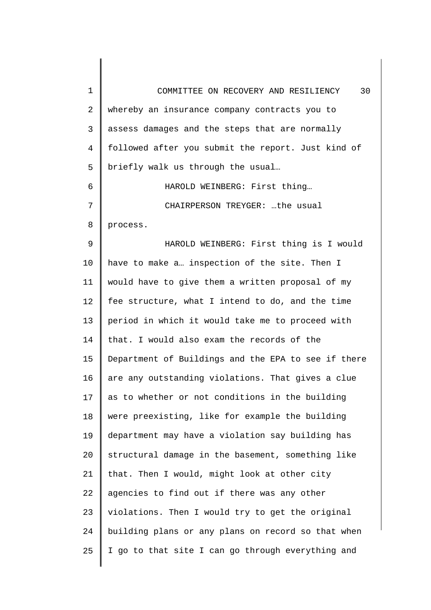| $\mathbf 1$    | 30<br>COMMITTEE ON RECOVERY AND RESILIENCY          |
|----------------|-----------------------------------------------------|
| $\overline{2}$ | whereby an insurance company contracts you to       |
| 3              | assess damages and the steps that are normally      |
| $\overline{4}$ | followed after you submit the report. Just kind of  |
| 5              | briefly walk us through the usual                   |
| 6              | HAROLD WEINBERG: First thing                        |
| 7              | CHAIRPERSON TREYGER: the usual                      |
| 8              | process.                                            |
| 9              | HAROLD WEINBERG: First thing is I would             |
| 10             | have to make a inspection of the site. Then I       |
| 11             | would have to give them a written proposal of my    |
| 12             | fee structure, what I intend to do, and the time    |
| 13             | period in which it would take me to proceed with    |
| 14             | that. I would also exam the records of the          |
| 15             | Department of Buildings and the EPA to see if there |
| 16             | are any outstanding violations. That gives a clue   |
| 17             | as to whether or not conditions in the building     |
| 18             | were preexisting, like for example the building     |
| 19             | department may have a violation say building has    |
| 20             | structural damage in the basement, something like   |
| 21             | that. Then I would, might look at other city        |
| 22             | agencies to find out if there was any other         |
| 23             | violations. Then I would try to get the original    |
| 24             | building plans or any plans on record so that when  |
| 25             | I go to that site I can go through everything and   |
|                |                                                     |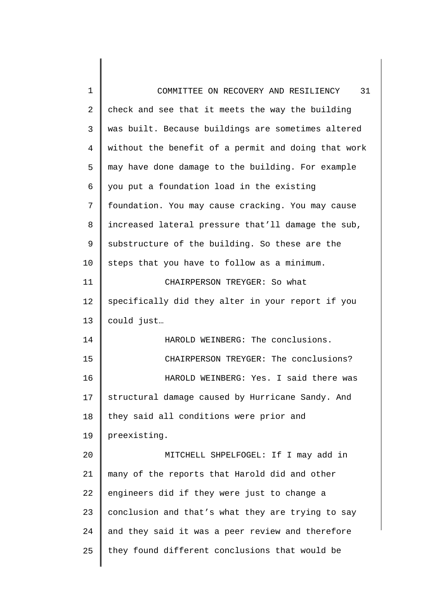| $\mathbf 1$    | 31<br>COMMITTEE ON RECOVERY AND RESILIENCY          |
|----------------|-----------------------------------------------------|
| 2              | check and see that it meets the way the building    |
| 3              | was built. Because buildings are sometimes altered  |
| $\overline{4}$ | without the benefit of a permit and doing that work |
| 5              | may have done damage to the building. For example   |
| 6              | you put a foundation load in the existing           |
| 7              | foundation. You may cause cracking. You may cause   |
| 8              | increased lateral pressure that'll damage the sub,  |
| 9              | substructure of the building. So these are the      |
| 10             | steps that you have to follow as a minimum.         |
| 11             | CHAIRPERSON TREYGER: So what                        |
| 12             | specifically did they alter in your report if you   |
| 13             | could just                                          |
| 14             | HAROLD WEINBERG: The conclusions.                   |
| 15             | CHAIRPERSON TREYGER: The conclusions?               |
| 16             | HAROLD WEINBERG: Yes. I said there was              |
| 17             | structural damage caused by Hurricane Sandy. And    |
| 18             | they said all conditions were prior and             |
| 19             | preexisting.                                        |
| 20             | MITCHELL SHPELFOGEL: If I may add in                |
| 21             | many of the reports that Harold did and other       |
| 22             | engineers did if they were just to change a         |
| 23             | conclusion and that's what they are trying to say   |
| 24             | and they said it was a peer review and therefore    |
| 25             | they found different conclusions that would be      |
|                |                                                     |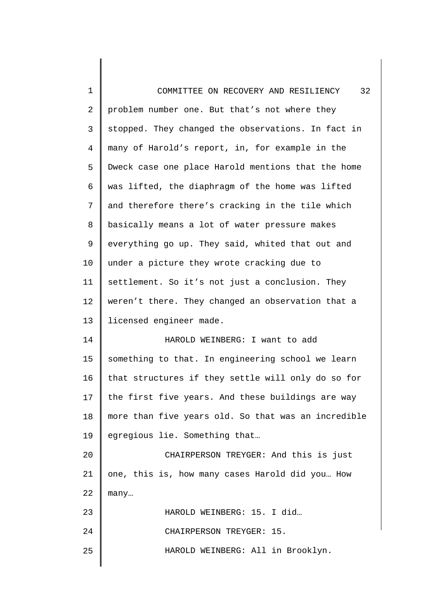| 1              | 32<br>COMMITTEE ON RECOVERY AND RESILIENCY          |
|----------------|-----------------------------------------------------|
| 2              | problem number one. But that's not where they       |
| 3              | stopped. They changed the observations. In fact in  |
| $\overline{4}$ | many of Harold's report, in, for example in the     |
| 5              | Dweck case one place Harold mentions that the home  |
| 6              | was lifted, the diaphragm of the home was lifted    |
| 7              | and therefore there's cracking in the tile which    |
| 8              | basically means a lot of water pressure makes       |
| 9              | everything go up. They said, whited that out and    |
| 10             | under a picture they wrote cracking due to          |
| 11             | settlement. So it's not just a conclusion. They     |
| 12             | weren't there. They changed an observation that a   |
| 13             | licensed engineer made.                             |
| 14             | HAROLD WEINBERG: I want to add                      |
| 15             | something to that. In engineering school we learn   |
| 16             | that structures if they settle will only do so for  |
| 17             | the first five years. And these buildings are way   |
| 18             | more than five years old. So that was an incredible |
| 19             | egregious lie. Something that                       |
| 20             | CHAIRPERSON TREYGER: And this is just               |
| 21             | one, this is, how many cases Harold did you How     |
| 22             | many                                                |
| 23             | HAROLD WEINBERG: 15. I did                          |
| 24             | CHAIRPERSON TREYGER: 15.                            |
| 25             | HAROLD WEINBERG: All in Brooklyn.                   |
|                |                                                     |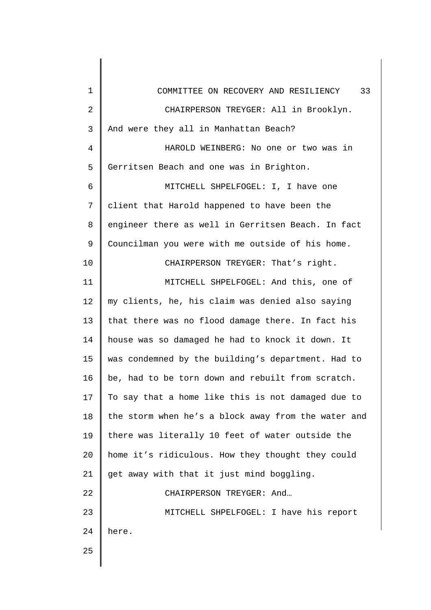| $\mathbf 1$    | 33<br>COMMITTEE ON RECOVERY AND RESILIENCY          |
|----------------|-----------------------------------------------------|
| $\overline{2}$ | CHAIRPERSON TREYGER: All in Brooklyn.               |
| 3              | And were they all in Manhattan Beach?               |
| $\overline{4}$ | HAROLD WEINBERG: No one or two was in               |
| 5              | Gerritsen Beach and one was in Brighton.            |
| 6              | MITCHELL SHPELFOGEL: I, I have one                  |
| 7              | client that Harold happened to have been the        |
| 8              | engineer there as well in Gerritsen Beach. In fact  |
| 9              | Councilman you were with me outside of his home.    |
| 10             | CHAIRPERSON TREYGER: That's right.                  |
| 11             | MITCHELL SHPELFOGEL: And this, one of               |
| 12             | my clients, he, his claim was denied also saying    |
| 13             | that there was no flood damage there. In fact his   |
| 14             | house was so damaged he had to knock it down. It    |
| 15             | was condemned by the building's department. Had to  |
| 16             | be, had to be torn down and rebuilt from scratch.   |
| 17             | To say that a home like this is not damaged due to  |
| 18             | the storm when he's a block away from the water and |
| 19             | there was literally 10 feet of water outside the    |
| 20             | home it's ridiculous. How they thought they could   |
| 21             | get away with that it just mind boggling.           |
| 22             | CHAIRPERSON TREYGER: And                            |
| 23             | MITCHELL SHPELFOGEL: I have his report              |
| 24             | here.                                               |
| 25             |                                                     |
|                |                                                     |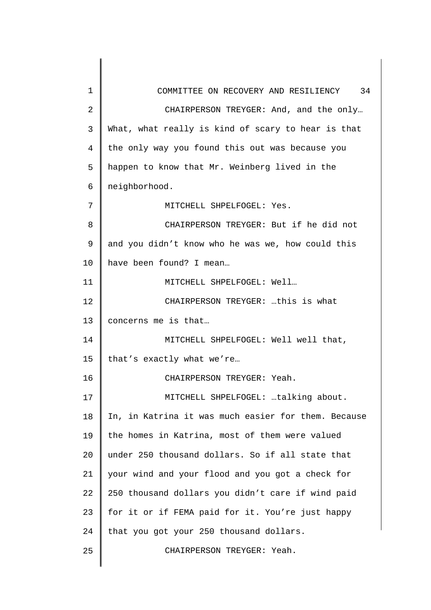1 2 3 4 5 6 7 8 9 10 11 12 13 14 15 16 17 18 19 20 21 22 23 24 25 COMMITTEE ON RECOVERY AND RESILIENCY 34 CHAIRPERSON TREYGER: And, and the only… What, what really is kind of scary to hear is that the only way you found this out was because you happen to know that Mr. Weinberg lived in the neighborhood. MITCHELL SHPELFOGEL: Yes. CHAIRPERSON TREYGER: But if he did not and you didn't know who he was we, how could this have been found? I mean… MITCHELL SHPELFOGEL: Well… CHAIRPERSON TREYGER: …this is what concerns me is that… MITCHELL SHPELFOGEL: Well well that, that's exactly what we're… CHAIRPERSON TREYGER: Yeah. MITCHELL SHPELFOGEL: …talking about. In, in Katrina it was much easier for them. Because the homes in Katrina, most of them were valued under 250 thousand dollars. So if all state that your wind and your flood and you got a check for 250 thousand dollars you didn't care if wind paid for it or if FEMA paid for it. You're just happy that you got your 250 thousand dollars. CHAIRPERSON TREYGER: Yeah.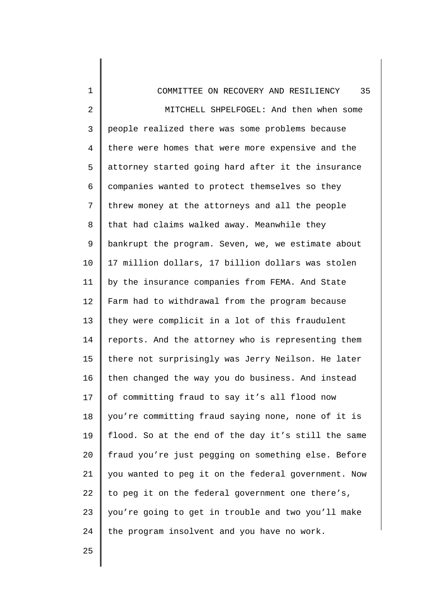| $\mathbf 1$    | 35<br>COMMITTEE ON RECOVERY AND RESILIENCY          |
|----------------|-----------------------------------------------------|
| 2              | MITCHELL SHPELFOGEL: And then when some             |
| 3              | people realized there was some problems because     |
| $\overline{4}$ | there were homes that were more expensive and the   |
| 5              | attorney started going hard after it the insurance  |
| 6              | companies wanted to protect themselves so they      |
| 7              | threw money at the attorneys and all the people     |
| 8              | that had claims walked away. Meanwhile they         |
| 9              | bankrupt the program. Seven, we, we estimate about  |
| 10             | 17 million dollars, 17 billion dollars was stolen   |
| 11             | by the insurance companies from FEMA. And State     |
| 12             | Farm had to withdrawal from the program because     |
| 13             | they were complicit in a lot of this fraudulent     |
| 14             | reports. And the attorney who is representing them  |
| 15             | there not surprisingly was Jerry Neilson. He later  |
| 16             | then changed the way you do business. And instead   |
| 17             | of committing fraud to say it's all flood now       |
| 18             | you're committing fraud saying none, none of it is  |
| 19             | flood. So at the end of the day it's still the same |
| 20             | fraud you're just pegging on something else. Before |
| 21             | you wanted to peg it on the federal government. Now |
| 22             | to peg it on the federal government one there's,    |
| 23             | you're going to get in trouble and two you'll make  |
| 24             | the program insolvent and you have no work.         |
|                |                                                     |

25

 $\parallel$ 

 $\parallel$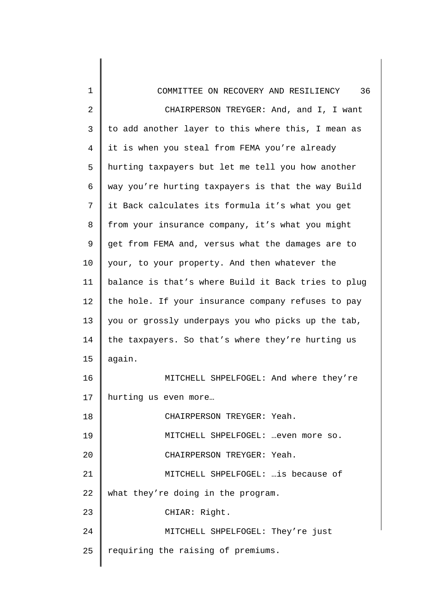| $\mathbf 1$    | 36<br>COMMITTEE ON RECOVERY AND RESILIENCY          |
|----------------|-----------------------------------------------------|
| $\overline{2}$ | CHAIRPERSON TREYGER: And, and I, I want             |
| 3              | to add another layer to this where this, I mean as  |
| $\overline{4}$ | it is when you steal from FEMA you're already       |
| 5              | hurting taxpayers but let me tell you how another   |
| 6              | way you're hurting taxpayers is that the way Build  |
| 7              | it Back calculates its formula it's what you get    |
| 8              | from your insurance company, it's what you might    |
| 9              | get from FEMA and, versus what the damages are to   |
| 10             | your, to your property. And then whatever the       |
| 11             | balance is that's where Build it Back tries to plug |
| 12             | the hole. If your insurance company refuses to pay  |
| 13             | you or grossly underpays you who picks up the tab,  |
| 14             | the taxpayers. So that's where they're hurting us   |
| 15             | again.                                              |
| 16             | MITCHELL SHPELFOGEL: And where they're              |
| 17             | hurting us even more                                |
| 18             | CHAIRPERSON TREYGER: Yeah.                          |
| 19             | MITCHELL SHPELFOGEL: even more so.                  |
| 20             | CHAIRPERSON TREYGER: Yeah.                          |
| 21             | MITCHELL SHPELFOGEL:  is because of                 |
| 22             | what they're doing in the program.                  |
| 23             | CHIAR: Right.                                       |
| 24             | MITCHELL SHPELFOGEL: They're just                   |
| 25             | requiring the raising of premiums.                  |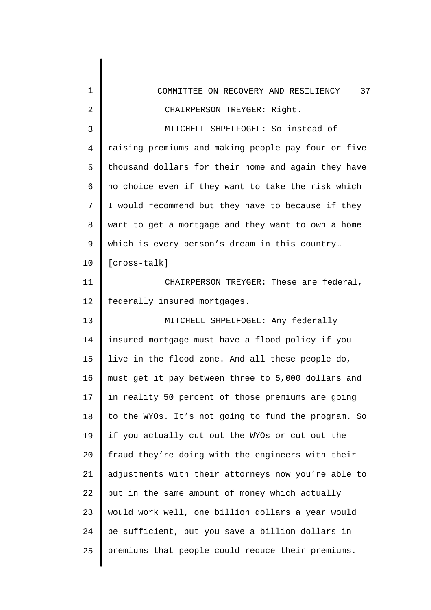| 1              | 37<br>COMMITTEE ON RECOVERY AND RESILIENCY          |
|----------------|-----------------------------------------------------|
| $\overline{2}$ | CHAIRPERSON TREYGER: Right.                         |
| 3              | MITCHELL SHPELFOGEL: So instead of                  |
| $\overline{4}$ | raising premiums and making people pay four or five |
| 5              | thousand dollars for their home and again they have |
| 6              | no choice even if they want to take the risk which  |
| 7              | I would recommend but they have to because if they  |
| 8              | want to get a mortgage and they want to own a home  |
| 9              | which is every person's dream in this country       |
| 10             | [cross-talk]                                        |
| 11             | CHAIRPERSON TREYGER: These are federal,             |
| 12             | federally insured mortgages.                        |
| 13             | MITCHELL SHPELFOGEL: Any federally                  |
| 14             | insured mortgage must have a flood policy if you    |
| 15             | live in the flood zone. And all these people do,    |
| 16             | must get it pay between three to 5,000 dollars and  |
| 17             | in reality 50 percent of those premiums are going   |
| 18             | to the WYOs. It's not going to fund the program. So |
| 19             | if you actually cut out the WYOs or cut out the     |
| 20             | fraud they're doing with the engineers with their   |
| 21             | adjustments with their attorneys now you're able to |
| 22             | put in the same amount of money which actually      |
| 23             | would work well, one billion dollars a year would   |
| 24             | be sufficient, but you save a billion dollars in    |
| 25             | premiums that people could reduce their premiums.   |
|                |                                                     |

║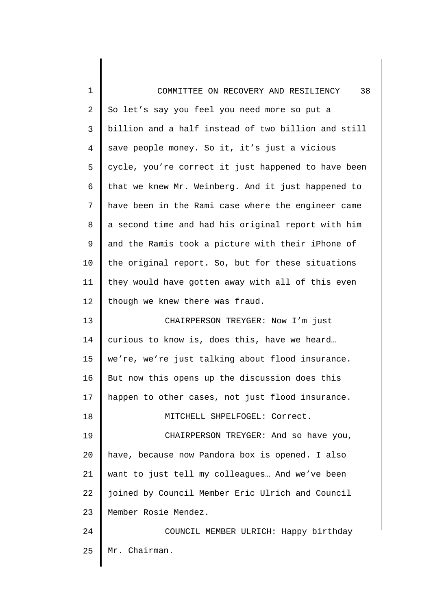| $\mathbf 1$    | 38<br>COMMITTEE ON RECOVERY AND RESILIENCY          |
|----------------|-----------------------------------------------------|
| $\overline{c}$ | So let's say you feel you need more so put a        |
| 3              | billion and a half instead of two billion and still |
| 4              | save people money. So it, it's just a vicious       |
| 5              | cycle, you're correct it just happened to have been |
| 6              | that we knew Mr. Weinberg. And it just happened to  |
| 7              | have been in the Rami case where the engineer came  |
| 8              | a second time and had his original report with him  |
| 9              | and the Ramis took a picture with their iPhone of   |
| 10             | the original report. So, but for these situations   |
| 11             | they would have gotten away with all of this even   |
| 12             | though we knew there was fraud.                     |
| 13             | CHAIRPERSON TREYGER: Now I'm just                   |
| 14             | curious to know is, does this, have we heard        |
| 15             | we're, we're just talking about flood insurance.    |
| 16             | But now this opens up the discussion does this      |
| 17             | happen to other cases, not just flood insurance.    |
| 18             | MITCHELL SHPELFOGEL: Correct.                       |
| 19             | CHAIRPERSON TREYGER: And so have you,               |
| 20             | have, because now Pandora box is opened. I also     |
| 21             | want to just tell my colleagues And we've been      |
| 22             | joined by Council Member Eric Ulrich and Council    |
| 23             | Member Rosie Mendez.                                |
| 24             | COUNCIL MEMBER ULRICH: Happy birthday               |
| 25             | Mr. Chairman.                                       |
|                |                                                     |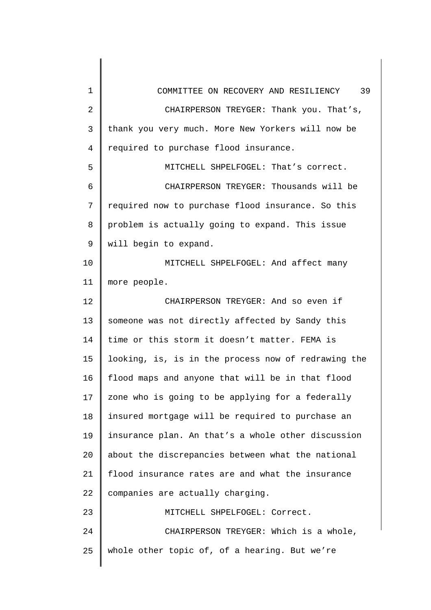| 1              | 39<br>COMMITTEE ON RECOVERY AND RESILIENCY          |
|----------------|-----------------------------------------------------|
| $\overline{2}$ | CHAIRPERSON TREYGER: Thank you. That's,             |
| 3              | thank you very much. More New Yorkers will now be   |
| $\overline{4}$ | required to purchase flood insurance.               |
| 5              | MITCHELL SHPELFOGEL: That's correct.                |
| 6              | CHAIRPERSON TREYGER: Thousands will be              |
| 7              | required now to purchase flood insurance. So this   |
| 8              | problem is actually going to expand. This issue     |
| 9              | will begin to expand.                               |
| 10             | MITCHELL SHPELFOGEL: And affect many                |
| 11             | more people.                                        |
| 12             | CHAIRPERSON TREYGER: And so even if                 |
| 13             | someone was not directly affected by Sandy this     |
| 14             | time or this storm it doesn't matter. FEMA is       |
| 15             | looking, is, is in the process now of redrawing the |
| 16             | flood maps and anyone that will be in that flood    |
| 17             | zone who is going to be applying for a federally    |
| 18             | insured mortgage will be required to purchase an    |
| 19             | insurance plan. An that's a whole other discussion  |
| 20             | about the discrepancies between what the national   |
| 21             | flood insurance rates are and what the insurance    |
| 22             | companies are actually charging.                    |
| 23             | MITCHELL SHPELFOGEL: Correct.                       |
| 24             | CHAIRPERSON TREYGER: Which is a whole,              |
| 25             | whole other topic of, of a hearing. But we're       |
|                |                                                     |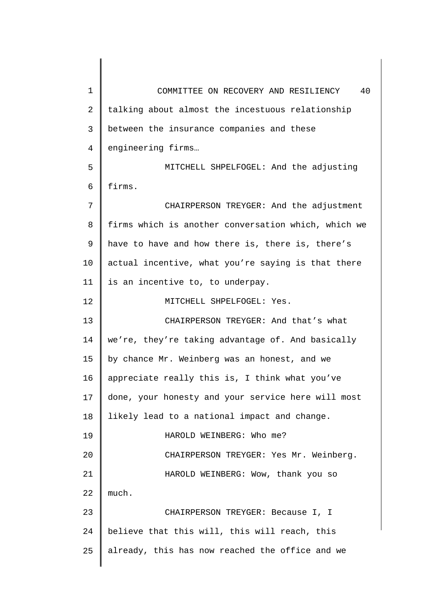1 2 3 4 5 6 7 8 9 10 11 12 13 14 15 16 17 18 19 20 21 22 23 24 25 COMMITTEE ON RECOVERY AND RESILIENCY 40 talking about almost the incestuous relationship between the insurance companies and these engineering firms… MITCHELL SHPELFOGEL: And the adjusting firms. CHAIRPERSON TREYGER: And the adjustment firms which is another conversation which, which we have to have and how there is, there is, there's actual incentive, what you're saying is that there is an incentive to, to underpay. MITCHELL SHPELFOGEL: Yes. CHAIRPERSON TREYGER: And that's what we're, they're taking advantage of. And basically by chance Mr. Weinberg was an honest, and we appreciate really this is, I think what you've done, your honesty and your service here will most likely lead to a national impact and change. HAROLD WEINBERG: Who me? CHAIRPERSON TREYGER: Yes Mr. Weinberg. HAROLD WEINBERG: Wow, thank you so much. CHAIRPERSON TREYGER: Because I, I believe that this will, this will reach, this already, this has now reached the office and we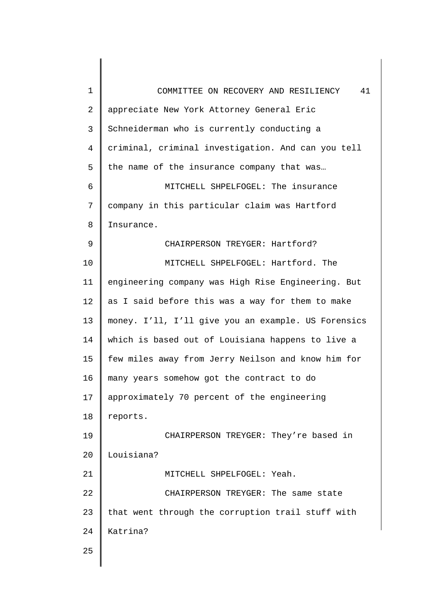| 1              | 41<br>COMMITTEE ON RECOVERY AND RESILIENCY          |
|----------------|-----------------------------------------------------|
| $\overline{2}$ | appreciate New York Attorney General Eric           |
| 3              | Schneiderman who is currently conducting a          |
| $\overline{4}$ | criminal, criminal investigation. And can you tell  |
| 5              | the name of the insurance company that was          |
| 6              | MITCHELL SHPELFOGEL: The insurance                  |
| 7              | company in this particular claim was Hartford       |
| 8              | Insurance.                                          |
| 9              | CHAIRPERSON TREYGER: Hartford?                      |
| 10             | MITCHELL SHPELFOGEL: Hartford. The                  |
| 11             | engineering company was High Rise Engineering. But  |
| 12             | as I said before this was a way for them to make    |
| 13             | money. I'll, I'll give you an example. US Forensics |
| 14             | which is based out of Louisiana happens to live a   |
| 15             | few miles away from Jerry Neilson and know him for  |
| 16             | many years somehow got the contract to do           |
| 17             | approximately 70 percent of the engineering         |
| 18             | reports.                                            |
| 19             | CHAIRPERSON TREYGER: They're based in               |
| 20             | Louisiana?                                          |
| 21             | MITCHELL SHPELFOGEL: Yeah.                          |
| 22             | CHAIRPERSON TREYGER: The same state                 |
| 23             | that went through the corruption trail stuff with   |
| 24             | Katrina?                                            |
| 25             |                                                     |
|                |                                                     |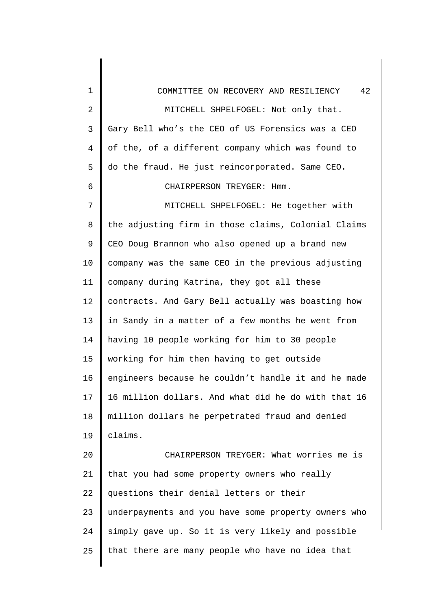| $\mathbf 1$    | 42<br>COMMITTEE ON RECOVERY AND RESILIENCY          |
|----------------|-----------------------------------------------------|
| $\overline{2}$ | MITCHELL SHPELFOGEL: Not only that.                 |
| 3              | Gary Bell who's the CEO of US Forensics was a CEO   |
| 4              | of the, of a different company which was found to   |
| 5              | do the fraud. He just reincorporated. Same CEO.     |
| 6              | CHAIRPERSON TREYGER: Hmm.                           |
| 7              | MITCHELL SHPELFOGEL: He together with               |
| 8              | the adjusting firm in those claims, Colonial Claims |
| 9              | CEO Doug Brannon who also opened up a brand new     |
| 10             | company was the same CEO in the previous adjusting  |
| 11             | company during Katrina, they got all these          |
| 12             | contracts. And Gary Bell actually was boasting how  |
| 13             | in Sandy in a matter of a few months he went from   |
| 14             | having 10 people working for him to 30 people       |
| 15             | working for him then having to get outside          |
| 16             | engineers because he couldn't handle it and he made |
| 17             | 16 million dollars. And what did he do with that 16 |
| 18             | million dollars he perpetrated fraud and denied     |
| 19             | claims.                                             |
| 20             | CHAIRPERSON TREYGER: What worries me is             |
| 21             | that you had some property owners who really        |
| 22             | questions their denial letters or their             |
| 23             | underpayments and you have some property owners who |
| 24             | simply gave up. So it is very likely and possible   |
| 25             | that there are many people who have no idea that    |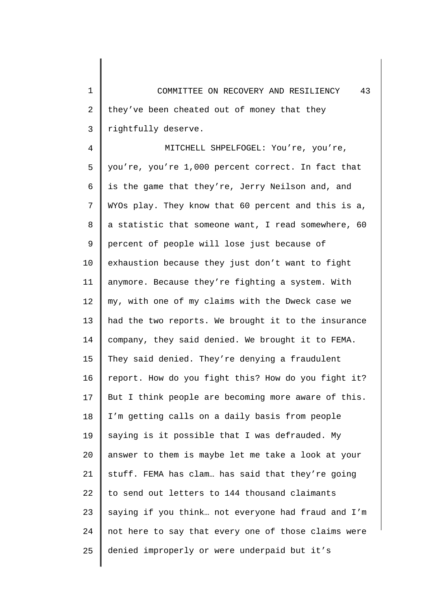1 2 3 COMMITTEE ON RECOVERY AND RESILIENCY 43 they've been cheated out of money that they rightfully deserve.

4 5 6 7 8 9 10 11 12 13 14 15 16 17 18 19 20 21 22 23 24 25 MITCHELL SHPELFOGEL: You're, you're, you're, you're 1,000 percent correct. In fact that is the game that they're, Jerry Neilson and, and WYOs play. They know that 60 percent and this is a, a statistic that someone want, I read somewhere, 60 percent of people will lose just because of exhaustion because they just don't want to fight anymore. Because they're fighting a system. With my, with one of my claims with the Dweck case we had the two reports. We brought it to the insurance company, they said denied. We brought it to FEMA. They said denied. They're denying a fraudulent report. How do you fight this? How do you fight it? But I think people are becoming more aware of this. I'm getting calls on a daily basis from people saying is it possible that I was defrauded. My answer to them is maybe let me take a look at your stuff. FEMA has clam… has said that they're going to send out letters to 144 thousand claimants saying if you think… not everyone had fraud and I'm not here to say that every one of those claims were denied improperly or were underpaid but it's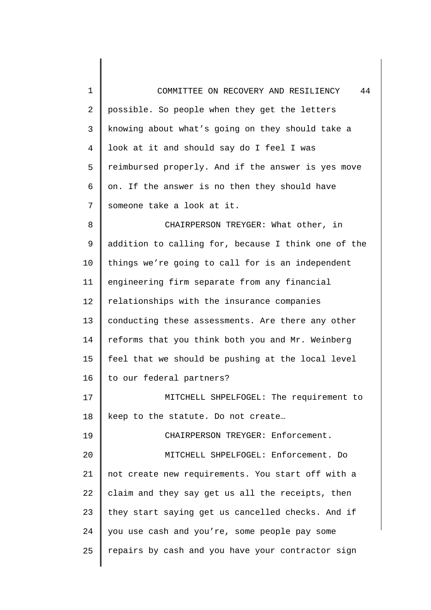1 2 3 4 5 6 7 8 9 10 11 12 13 14 15 16 17 18 19 20 21 22 23 24 25 COMMITTEE ON RECOVERY AND RESILIENCY 44 possible. So people when they get the letters knowing about what's going on they should take a look at it and should say do I feel I was reimbursed properly. And if the answer is yes move on. If the answer is no then they should have someone take a look at it. CHAIRPERSON TREYGER: What other, in addition to calling for, because I think one of the things we're going to call for is an independent engineering firm separate from any financial relationships with the insurance companies conducting these assessments. Are there any other reforms that you think both you and Mr. Weinberg feel that we should be pushing at the local level to our federal partners? MITCHELL SHPELFOGEL: The requirement to keep to the statute. Do not create… CHAIRPERSON TREYGER: Enforcement. MITCHELL SHPELFOGEL: Enforcement. Do not create new requirements. You start off with a claim and they say get us all the receipts, then they start saying get us cancelled checks. And if you use cash and you're, some people pay some repairs by cash and you have your contractor sign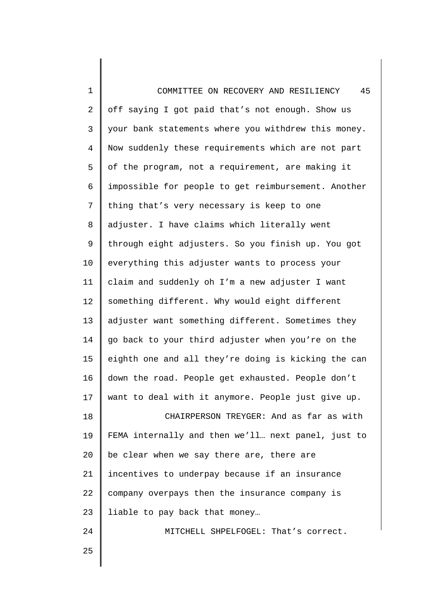| 1              | 45<br>COMMITTEE ON RECOVERY AND RESILIENCY          |
|----------------|-----------------------------------------------------|
| $\overline{c}$ | off saying I got paid that's not enough. Show us    |
| 3              | your bank statements where you withdrew this money. |
| $\overline{4}$ | Now suddenly these requirements which are not part  |
| 5              | of the program, not a requirement, are making it    |
| 6              | impossible for people to get reimbursement. Another |
| 7              | thing that's very necessary is keep to one          |
| 8              | adjuster. I have claims which literally went        |
| $\mathsf 9$    | through eight adjusters. So you finish up. You got  |
| 10             | everything this adjuster wants to process your      |
| 11             | claim and suddenly oh I'm a new adjuster I want     |
| 12             | something different. Why would eight different      |
| 13             | adjuster want something different. Sometimes they   |
| 14             | go back to your third adjuster when you're on the   |
| 15             | eighth one and all they're doing is kicking the can |
| 16             | down the road. People get exhausted. People don't   |
| 17             | want to deal with it anymore. People just give up.  |
| 18             | CHAIRPERSON TREYGER: And as far as with             |
| 19             | FEMA internally and then we'll next panel, just to  |
| 20             | be clear when we say there are, there are           |
| 21             | incentives to underpay because if an insurance      |
| 22             | company overpays then the insurance company is      |
| 23             | liable to pay back that money                       |
| 24             | MITCHELL SHPELFOGEL: That's correct.                |
| 25             |                                                     |
|                |                                                     |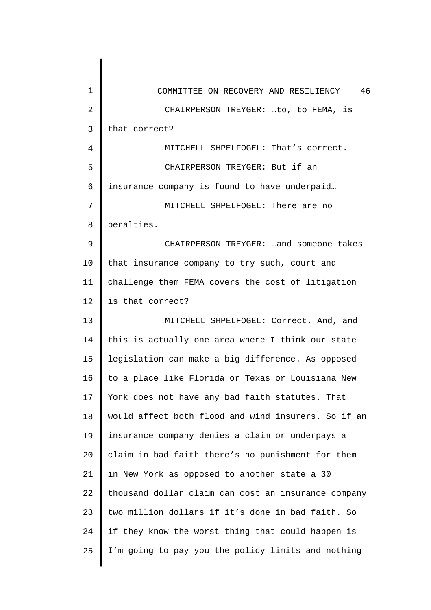| 1              | 46<br>COMMITTEE ON RECOVERY AND RESILIENCY          |
|----------------|-----------------------------------------------------|
| $\overline{2}$ | CHAIRPERSON TREYGER: to, to FEMA, is                |
| $\mathsf{3}$   | that correct?                                       |
| $\overline{4}$ | MITCHELL SHPELFOGEL: That's correct.                |
| 5              | CHAIRPERSON TREYGER: But if an                      |
| 6              | insurance company is found to have underpaid        |
| 7              | MITCHELL SHPELFOGEL: There are no                   |
| 8              | penalties.                                          |
| 9              | CHAIRPERSON TREYGER:  and someone takes             |
| 10             | that insurance company to try such, court and       |
| 11             | challenge them FEMA covers the cost of litigation   |
| 12             | is that correct?                                    |
| 13             | MITCHELL SHPELFOGEL: Correct. And, and              |
| 14             | this is actually one area where I think our state   |
| 15             | legislation can make a big difference. As opposed   |
| 16             | to a place like Florida or Texas or Louisiana New   |
| 17             | York does not have any bad faith statutes. That     |
| 18             | would affect both flood and wind insurers. So if an |
| 19             | insurance company denies a claim or underpays a     |
| 20             | claim in bad faith there's no punishment for them   |
| 21             | in New York as opposed to another state a 30        |
| 22             | thousand dollar claim can cost an insurance company |
| 23             | two million dollars if it's done in bad faith. So   |
| 24             | if they know the worst thing that could happen is   |
| 25             | I'm going to pay you the policy limits and nothing  |
|                |                                                     |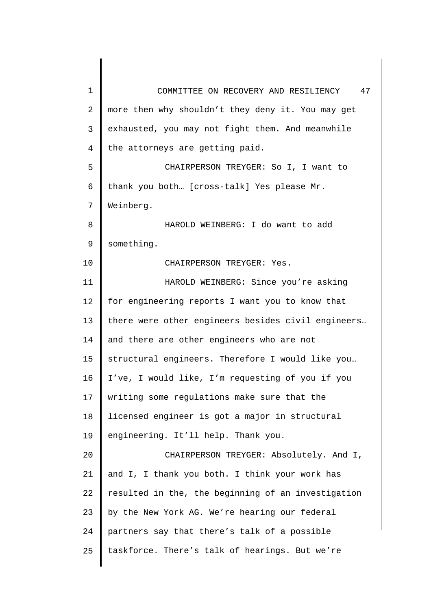| 1              | COMMITTEE ON RECOVERY AND RESILIENCY<br>47         |
|----------------|----------------------------------------------------|
| $\overline{2}$ | more then why shouldn't they deny it. You may get  |
| 3              | exhausted, you may not fight them. And meanwhile   |
| $\overline{4}$ | the attorneys are getting paid.                    |
| 5              | CHAIRPERSON TREYGER: So I, I want to               |
| 6              | thank you both [cross-talk] Yes please Mr.         |
| 7              | Weinberg.                                          |
| 8              | HAROLD WEINBERG: I do want to add                  |
| 9              | something.                                         |
| 10             | CHAIRPERSON TREYGER: Yes.                          |
| 11             | HAROLD WEINBERG: Since you're asking               |
| 12             | for engineering reports I want you to know that    |
| 13             | there were other engineers besides civil engineers |
| 14             | and there are other engineers who are not          |
| 15             | structural engineers. Therefore I would like you   |
| 16             | I've, I would like, I'm requesting of you if you   |
| 17             | writing some regulations make sure that the        |
| 18             | licensed engineer is got a major in structural     |
| 19             | engineering. It'll help. Thank you.                |
| 20             | CHAIRPERSON TREYGER: Absolutely. And I,            |
| 21             | and I, I thank you both. I think your work has     |
| 22             | resulted in the, the beginning of an investigation |
| 23             | by the New York AG. We're hearing our federal      |
| 24             | partners say that there's talk of a possible       |
| 25             | taskforce. There's talk of hearings. But we're     |
|                |                                                    |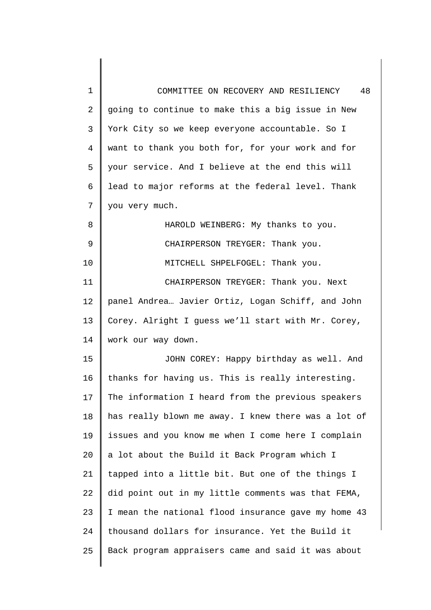| 1              | 48<br>COMMITTEE ON RECOVERY AND RESILIENCY          |
|----------------|-----------------------------------------------------|
| $\overline{2}$ | going to continue to make this a big issue in New   |
| 3              | York City so we keep everyone accountable. So I     |
| 4              | want to thank you both for, for your work and for   |
| 5              | your service. And I believe at the end this will    |
| 6              | lead to major reforms at the federal level. Thank   |
| 7              | you very much.                                      |
| 8              | HAROLD WEINBERG: My thanks to you.                  |
| 9              | CHAIRPERSON TREYGER: Thank you.                     |
| 10             | MITCHELL SHPELFOGEL: Thank you.                     |
| 11             | CHAIRPERSON TREYGER: Thank you. Next                |
| 12             | panel Andrea Javier Ortiz, Logan Schiff, and John   |
| 13             | Corey. Alright I guess we'll start with Mr. Corey,  |
| 14             | work our way down.                                  |
| 15             | JOHN COREY: Happy birthday as well. And             |
| 16             | thanks for having us. This is really interesting.   |
| 17             | The information I heard from the previous speakers  |
| 18             | has really blown me away. I knew there was a lot of |
| 19             | issues and you know me when I come here I complain  |
| 20             | a lot about the Build it Back Program which I       |
| 21             | tapped into a little bit. But one of the things I   |
| 22             | did point out in my little comments was that FEMA,  |
| 23             | I mean the national flood insurance gave my home 43 |
| 24             | thousand dollars for insurance. Yet the Build it    |
| 25             | Back program appraisers came and said it was about  |
|                |                                                     |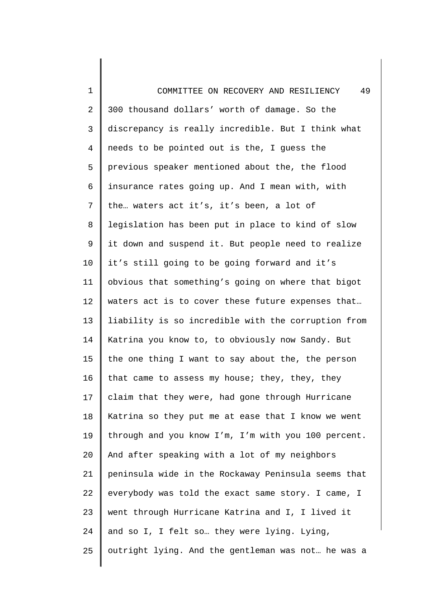1  $\mathcal{L}$ 3 4 5 6 7 8 9 10 11 12 13 14 15 16 17 18 19 20 21 22 23 24 25 COMMITTEE ON RECOVERY AND RESILIENCY 49 300 thousand dollars' worth of damage. So the discrepancy is really incredible. But I think what needs to be pointed out is the, I guess the previous speaker mentioned about the, the flood insurance rates going up. And I mean with, with the… waters act it's, it's been, a lot of legislation has been put in place to kind of slow it down and suspend it. But people need to realize it's still going to be going forward and it's obvious that something's going on where that bigot waters act is to cover these future expenses that… liability is so incredible with the corruption from Katrina you know to, to obviously now Sandy. But the one thing I want to say about the, the person that came to assess my house; they, they, they claim that they were, had gone through Hurricane Katrina so they put me at ease that I know we went through and you know I'm, I'm with you 100 percent. And after speaking with a lot of my neighbors peninsula wide in the Rockaway Peninsula seems that everybody was told the exact same story. I came, I went through Hurricane Katrina and I, I lived it and so I, I felt so… they were lying. Lying, outright lying. And the gentleman was not… he was a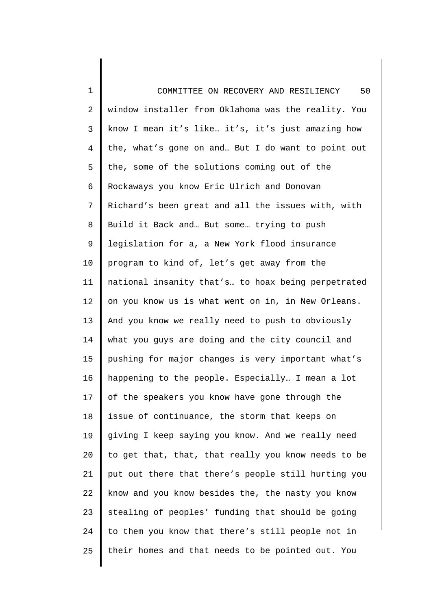| $\mathbf 1$    | 50<br>COMMITTEE ON RECOVERY AND RESILIENCY          |
|----------------|-----------------------------------------------------|
| 2              | window installer from Oklahoma was the reality. You |
| 3              | know I mean it's like it's, it's just amazing how   |
| $\overline{4}$ | the, what's gone on and But I do want to point out  |
| 5              | the, some of the solutions coming out of the        |
| 6              | Rockaways you know Eric Ulrich and Donovan          |
| 7              | Richard's been great and all the issues with, with  |
| 8              | Build it Back and But some trying to push           |
| $\mathsf 9$    | legislation for a, a New York flood insurance       |
| 10             | program to kind of, let's get away from the         |
| 11             | national insanity that's to hoax being perpetrated  |
| 12             | on you know us is what went on in, in New Orleans.  |
| 13             | And you know we really need to push to obviously    |
| 14             | what you guys are doing and the city council and    |
| 15             | pushing for major changes is very important what's  |
| 16             | happening to the people. Especially I mean a lot    |
| 17             | of the speakers you know have gone through the      |
| 18             | issue of continuance, the storm that keeps on       |
| 19             | giving I keep saying you know. And we really need   |
| 20             | to get that, that, that really you know needs to be |
| 21             | put out there that there's people still hurting you |
| 22             | know and you know besides the, the nasty you know   |
| 23             | stealing of peoples' funding that should be going   |
| 24             | to them you know that there's still people not in   |
| 25             | their homes and that needs to be pointed out. You   |
|                |                                                     |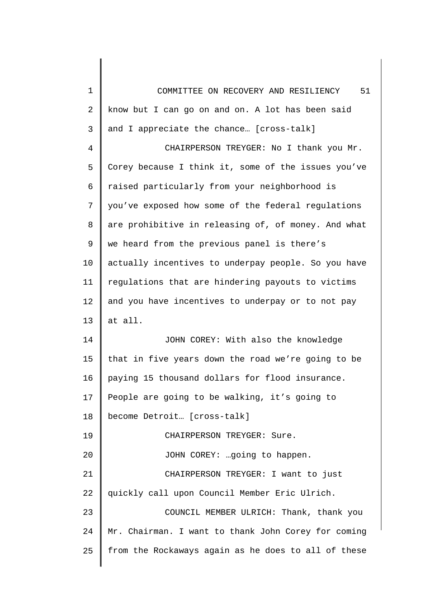| 1  | 51<br>COMMITTEE ON RECOVERY AND RESILIENCY          |
|----|-----------------------------------------------------|
| 2  | know but I can go on and on. A lot has been said    |
| 3  | and I appreciate the chance [cross-talk]            |
| 4  | CHAIRPERSON TREYGER: No I thank you Mr.             |
| 5  | Corey because I think it, some of the issues you've |
| 6  | raised particularly from your neighborhood is       |
| 7  | you've exposed how some of the federal regulations  |
| 8  | are prohibitive in releasing of, of money. And what |
| 9  | we heard from the previous panel is there's         |
| 10 | actually incentives to underpay people. So you have |
| 11 | regulations that are hindering payouts to victims   |
| 12 | and you have incentives to underpay or to not pay   |
| 13 | at all.                                             |
| 14 | JOHN COREY: With also the knowledge                 |
| 15 | that in five years down the road we're going to be  |
| 16 | paying 15 thousand dollars for flood insurance.     |
| 17 | People are going to be walking, it's going to       |
| 18 | become Detroit [cross-talk]                         |
| 19 | CHAIRPERSON TREYGER: Sure.                          |
| 20 | JOHN COREY:  going to happen.                       |
| 21 | CHAIRPERSON TREYGER: I want to just                 |
| 22 | quickly call upon Council Member Eric Ulrich.       |
| 23 | COUNCIL MEMBER ULRICH: Thank, thank you             |
| 24 | Mr. Chairman. I want to thank John Corey for coming |
| 25 | from the Rockaways again as he does to all of these |
|    |                                                     |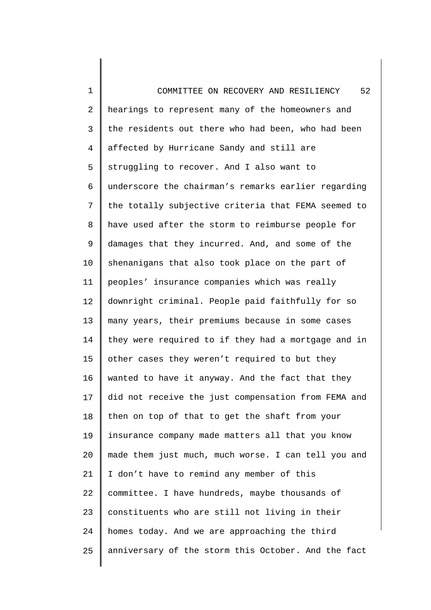1 2 3 4 5 6 7 8 9 10 11 12 13 14 15 16 17 18 19 20 21 22 23 24 25 COMMITTEE ON RECOVERY AND RESILIENCY 52 hearings to represent many of the homeowners and the residents out there who had been, who had been affected by Hurricane Sandy and still are struggling to recover. And I also want to underscore the chairman's remarks earlier regarding the totally subjective criteria that FEMA seemed to have used after the storm to reimburse people for damages that they incurred. And, and some of the shenanigans that also took place on the part of peoples' insurance companies which was really downright criminal. People paid faithfully for so many years, their premiums because in some cases they were required to if they had a mortgage and in other cases they weren't required to but they wanted to have it anyway. And the fact that they did not receive the just compensation from FEMA and then on top of that to get the shaft from your insurance company made matters all that you know made them just much, much worse. I can tell you and I don't have to remind any member of this committee. I have hundreds, maybe thousands of constituents who are still not living in their homes today. And we are approaching the third anniversary of the storm this October. And the fact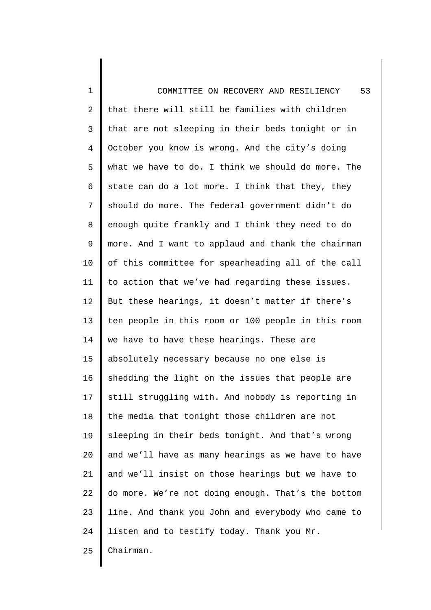1 2 3 4 5 6 7 8 9 10 11 12 13 14 15 16 17 18 19 20 21 22 23 24 25 COMMITTEE ON RECOVERY AND RESILIENCY 53 that there will still be families with children that are not sleeping in their beds tonight or in October you know is wrong. And the city's doing what we have to do. I think we should do more. The state can do a lot more. I think that they, they should do more. The federal government didn't do enough quite frankly and I think they need to do more. And I want to applaud and thank the chairman of this committee for spearheading all of the call to action that we've had regarding these issues. But these hearings, it doesn't matter if there's ten people in this room or 100 people in this room we have to have these hearings. These are absolutely necessary because no one else is shedding the light on the issues that people are still struggling with. And nobody is reporting in the media that tonight those children are not sleeping in their beds tonight. And that's wrong and we'll have as many hearings as we have to have and we'll insist on those hearings but we have to do more. We're not doing enough. That's the bottom line. And thank you John and everybody who came to listen and to testify today. Thank you Mr. Chairman.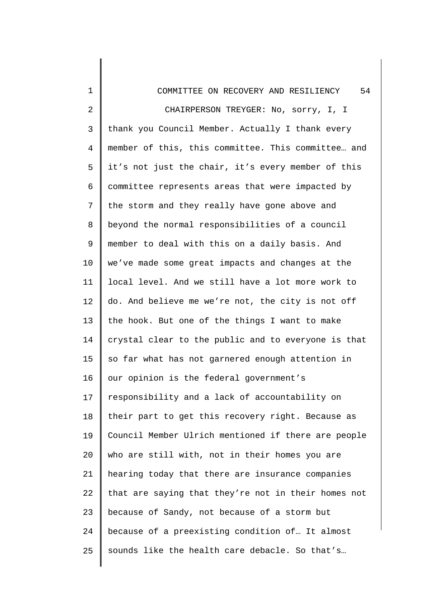| $\mathbf 1$    | 54<br>COMMITTEE ON RECOVERY AND RESILIENCY          |
|----------------|-----------------------------------------------------|
| $\overline{2}$ | CHAIRPERSON TREYGER: No, sorry, I, I                |
| 3              | thank you Council Member. Actually I thank every    |
| $\overline{4}$ | member of this, this committee. This committee and  |
| 5              | it's not just the chair, it's every member of this  |
| 6              | committee represents areas that were impacted by    |
| 7              | the storm and they really have gone above and       |
| 8              | beyond the normal responsibilities of a council     |
| 9              | member to deal with this on a daily basis. And      |
| 10             | we've made some great impacts and changes at the    |
| 11             | local level. And we still have a lot more work to   |
| 12             | do. And believe me we're not, the city is not off   |
| 13             | the hook. But one of the things I want to make      |
| 14             | crystal clear to the public and to everyone is that |
| 15             | so far what has not garnered enough attention in    |
| 16             | our opinion is the federal government's             |
| 17             | responsibility and a lack of accountability on      |
| 18             | their part to get this recovery right. Because as   |
| 19             | Council Member Ulrich mentioned if there are people |
| 20             | who are still with, not in their homes you are      |
| 21             | hearing today that there are insurance companies    |
| 22             | that are saying that they're not in their homes not |
| 23             | because of Sandy, not because of a storm but        |
| 24             | because of a preexisting condition of It almost     |
| 25             | sounds like the health care debacle. So that's      |
|                |                                                     |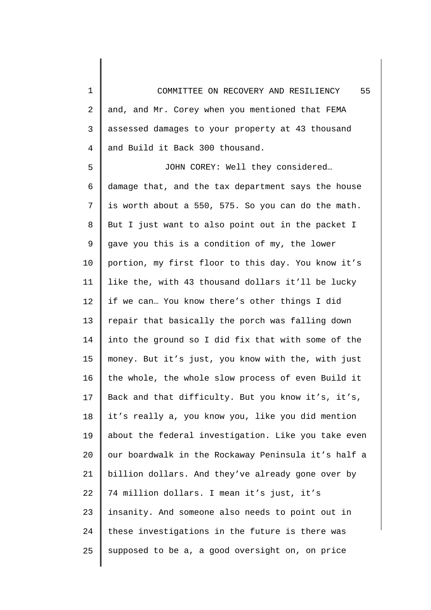1 2 3 4 COMMITTEE ON RECOVERY AND RESILIENCY 55 and, and Mr. Corey when you mentioned that FEMA assessed damages to your property at 43 thousand and Build it Back 300 thousand.

5 6 7 8 9 10 11 12 13 14 15 16 17 18 19 20 21 22 23 24 25 JOHN COREY: Well they considered… damage that, and the tax department says the house is worth about a 550, 575. So you can do the math. But I just want to also point out in the packet I gave you this is a condition of my, the lower portion, my first floor to this day. You know it's like the, with 43 thousand dollars it'll be lucky if we can… You know there's other things I did repair that basically the porch was falling down into the ground so I did fix that with some of the money. But it's just, you know with the, with just the whole, the whole slow process of even Build it Back and that difficulty. But you know it's, it's, it's really a, you know you, like you did mention about the federal investigation. Like you take even our boardwalk in the Rockaway Peninsula it's half a billion dollars. And they've already gone over by 74 million dollars. I mean it's just, it's insanity. And someone also needs to point out in these investigations in the future is there was supposed to be a, a good oversight on, on price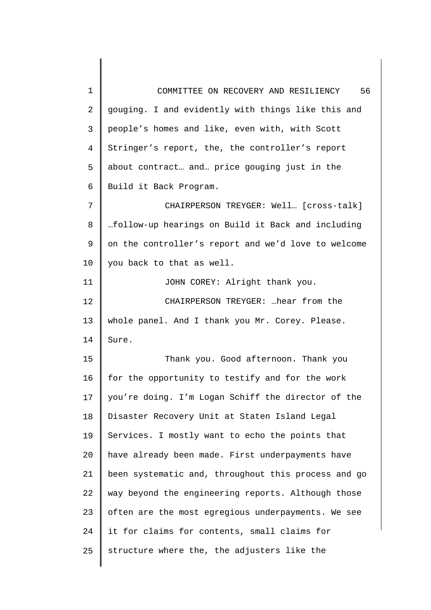1 2 3 4 5 6 7 8 9 10 11 12 13 14 15 16 17 18 19 20 21 22 23 24 25 COMMITTEE ON RECOVERY AND RESILIENCY 56 gouging. I and evidently with things like this and people's homes and like, even with, with Scott Stringer's report, the, the controller's report about contract… and… price gouging just in the Build it Back Program. CHAIRPERSON TREYGER: Well… [cross-talk] …follow-up hearings on Build it Back and including on the controller's report and we'd love to welcome you back to that as well. JOHN COREY: Alright thank you. CHAIRPERSON TREYGER: …hear from the whole panel. And I thank you Mr. Corey. Please. Sure. Thank you. Good afternoon. Thank you for the opportunity to testify and for the work you're doing. I'm Logan Schiff the director of the Disaster Recovery Unit at Staten Island Legal Services. I mostly want to echo the points that have already been made. First underpayments have been systematic and, throughout this process and go way beyond the engineering reports. Although those often are the most egregious underpayments. We see it for claims for contents, small claims for structure where the, the adjusters like the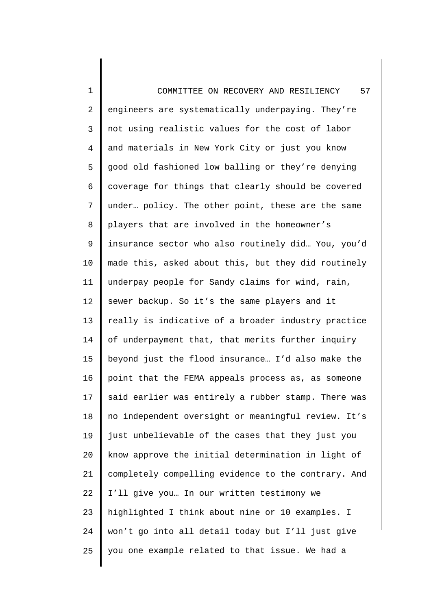1 2 3 4 5 6 7 8 9 10 11 12 13 14 15 16 17 18 19 20 21 22 23 24 25 COMMITTEE ON RECOVERY AND RESILIENCY 57 engineers are systematically underpaying. They're not using realistic values for the cost of labor and materials in New York City or just you know good old fashioned low balling or they're denying coverage for things that clearly should be covered under… policy. The other point, these are the same players that are involved in the homeowner's insurance sector who also routinely did… You, you'd made this, asked about this, but they did routinely underpay people for Sandy claims for wind, rain, sewer backup. So it's the same players and it really is indicative of a broader industry practice of underpayment that, that merits further inquiry beyond just the flood insurance… I'd also make the point that the FEMA appeals process as, as someone said earlier was entirely a rubber stamp. There was no independent oversight or meaningful review. It's just unbelievable of the cases that they just you know approve the initial determination in light of completely compelling evidence to the contrary. And I'll give you… In our written testimony we highlighted I think about nine or 10 examples. I won't go into all detail today but I'll just give you one example related to that issue. We had a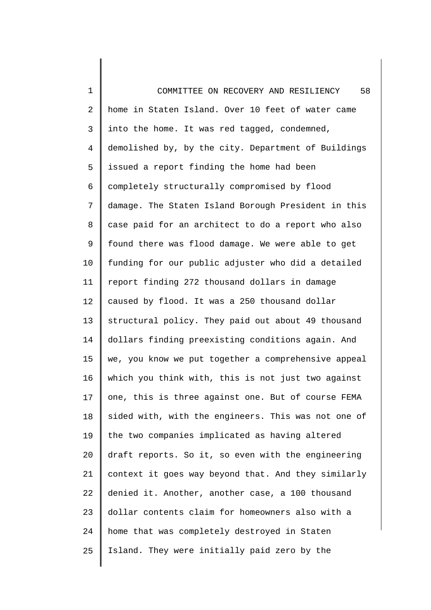1 2 3 4 5 6 7 8 9 10 11 12 13 14 15 16 17 18 19 20 21 22 23 24 25 COMMITTEE ON RECOVERY AND RESILIENCY 58 home in Staten Island. Over 10 feet of water came into the home. It was red tagged, condemned, demolished by, by the city. Department of Buildings issued a report finding the home had been completely structurally compromised by flood damage. The Staten Island Borough President in this case paid for an architect to do a report who also found there was flood damage. We were able to get funding for our public adjuster who did a detailed report finding 272 thousand dollars in damage caused by flood. It was a 250 thousand dollar structural policy. They paid out about 49 thousand dollars finding preexisting conditions again. And we, you know we put together a comprehensive appeal which you think with, this is not just two against one, this is three against one. But of course FEMA sided with, with the engineers. This was not one of the two companies implicated as having altered draft reports. So it, so even with the engineering context it goes way beyond that. And they similarly denied it. Another, another case, a 100 thousand dollar contents claim for homeowners also with a home that was completely destroyed in Staten Island. They were initially paid zero by the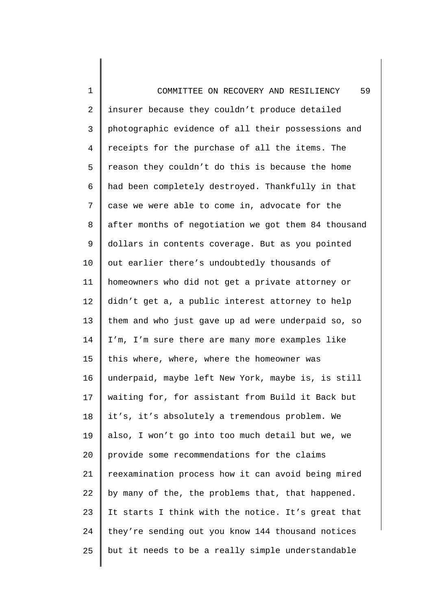1 2 3 4 5 6 7 8 9 10 11 12 13 14 15 16 17 18 19 20 21 22 23 24 25 COMMITTEE ON RECOVERY AND RESILIENCY 59 insurer because they couldn't produce detailed photographic evidence of all their possessions and receipts for the purchase of all the items. The reason they couldn't do this is because the home had been completely destroyed. Thankfully in that case we were able to come in, advocate for the after months of negotiation we got them 84 thousand dollars in contents coverage. But as you pointed out earlier there's undoubtedly thousands of homeowners who did not get a private attorney or didn't get a, a public interest attorney to help them and who just gave up ad were underpaid so, so I'm, I'm sure there are many more examples like this where, where, where the homeowner was underpaid, maybe left New York, maybe is, is still waiting for, for assistant from Build it Back but it's, it's absolutely a tremendous problem. We also, I won't go into too much detail but we, we provide some recommendations for the claims reexamination process how it can avoid being mired by many of the, the problems that, that happened. It starts I think with the notice. It's great that they're sending out you know 144 thousand notices but it needs to be a really simple understandable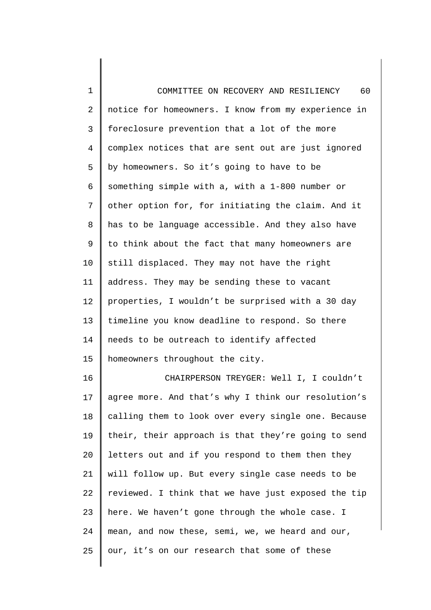1  $\mathcal{L}$ 3 4 5 6 7 8 9 10 11 12 13 14 15 COMMITTEE ON RECOVERY AND RESILIENCY 60 notice for homeowners. I know from my experience in foreclosure prevention that a lot of the more complex notices that are sent out are just ignored by homeowners. So it's going to have to be something simple with a, with a 1-800 number or other option for, for initiating the claim. And it has to be language accessible. And they also have to think about the fact that many homeowners are still displaced. They may not have the right address. They may be sending these to vacant properties, I wouldn't be surprised with a 30 day timeline you know deadline to respond. So there needs to be outreach to identify affected homeowners throughout the city.

16 17 18 19 20 21 22 23 24 25 CHAIRPERSON TREYGER: Well I, I couldn't agree more. And that's why I think our resolution's calling them to look over every single one. Because their, their approach is that they're going to send letters out and if you respond to them then they will follow up. But every single case needs to be reviewed. I think that we have just exposed the tip here. We haven't gone through the whole case. I mean, and now these, semi, we, we heard and our, our, it's on our research that some of these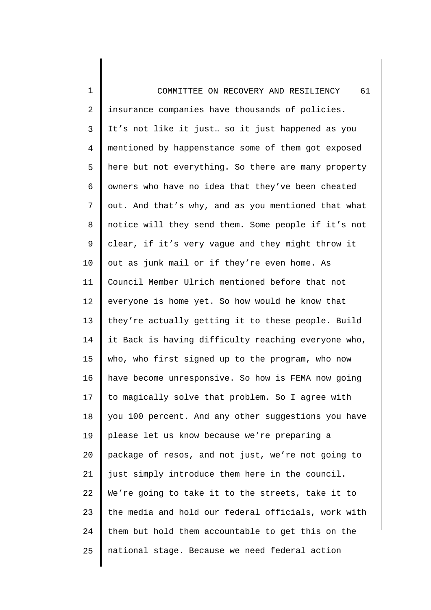1  $\overline{a}$ 3 4 5 6 7 8 9 10 11 12 13 14 15 16 17 18 19 20 21 22 23 24 25 COMMITTEE ON RECOVERY AND RESILIENCY 61 insurance companies have thousands of policies. It's not like it just… so it just happened as you mentioned by happenstance some of them got exposed here but not everything. So there are many property owners who have no idea that they've been cheated out. And that's why, and as you mentioned that what notice will they send them. Some people if it's not clear, if it's very vague and they might throw it out as junk mail or if they're even home. As Council Member Ulrich mentioned before that not everyone is home yet. So how would he know that they're actually getting it to these people. Build it Back is having difficulty reaching everyone who, who, who first signed up to the program, who now have become unresponsive. So how is FEMA now going to magically solve that problem. So I agree with you 100 percent. And any other suggestions you have please let us know because we're preparing a package of resos, and not just, we're not going to just simply introduce them here in the council. We're going to take it to the streets, take it to the media and hold our federal officials, work with them but hold them accountable to get this on the national stage. Because we need federal action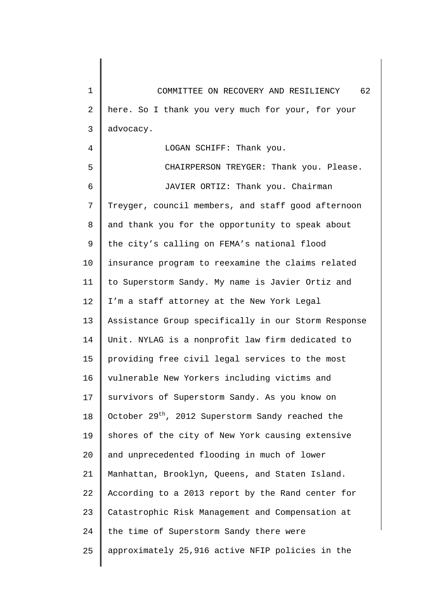1 2 3 COMMITTEE ON RECOVERY AND RESILIENCY 62 here. So I thank you very much for your, for your advocacy.

LOGAN SCHIFF: Thank you.

4

5 6 7 8 9 10 11 12 13 14 15 16 17 18 19 20 21 22 23 24 25 CHAIRPERSON TREYGER: Thank you. Please. JAVIER ORTIZ: Thank you. Chairman Treyger, council members, and staff good afternoon and thank you for the opportunity to speak about the city's calling on FEMA's national flood insurance program to reexamine the claims related to Superstorm Sandy. My name is Javier Ortiz and I'm a staff attorney at the New York Legal Assistance Group specifically in our Storm Response Unit. NYLAG is a nonprofit law firm dedicated to providing free civil legal services to the most vulnerable New Yorkers including victims and survivors of Superstorm Sandy. As you know on October  $29<sup>th</sup>$ , 2012 Superstorm Sandy reached the shores of the city of New York causing extensive and unprecedented flooding in much of lower Manhattan, Brooklyn, Queens, and Staten Island. According to a 2013 report by the Rand center for Catastrophic Risk Management and Compensation at the time of Superstorm Sandy there were approximately 25,916 active NFIP policies in the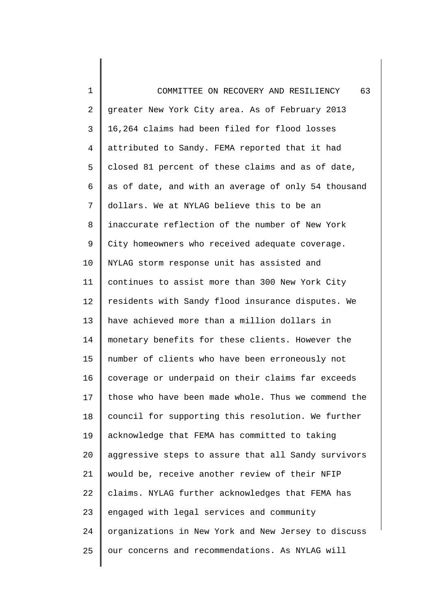| 1              | 63<br>COMMITTEE ON RECOVERY AND RESILIENCY          |
|----------------|-----------------------------------------------------|
| $\overline{c}$ | greater New York City area. As of February 2013     |
| 3              | 16,264 claims had been filed for flood losses       |
| $\overline{4}$ | attributed to Sandy. FEMA reported that it had      |
| 5              | closed 81 percent of these claims and as of date,   |
| 6              | as of date, and with an average of only 54 thousand |
| 7              | dollars. We at NYLAG believe this to be an          |
| 8              | inaccurate reflection of the number of New York     |
| 9              | City homeowners who received adequate coverage.     |
| 10             | NYLAG storm response unit has assisted and          |
| 11             | continues to assist more than 300 New York City     |
| 12             | residents with Sandy flood insurance disputes. We   |
| 13             | have achieved more than a million dollars in        |
| 14             | monetary benefits for these clients. However the    |
| 15             | number of clients who have been erroneously not     |
| 16             | coverage or underpaid on their claims far exceeds   |
| 17             | those who have been made whole. Thus we commend the |
| 18             | council for supporting this resolution. We further  |
| 19             | acknowledge that FEMA has committed to taking       |
| 20             | aggressive steps to assure that all Sandy survivors |
| 21             | would be, receive another review of their NFIP      |
| 22             | claims. NYLAG further acknowledges that FEMA has    |
| 23             | engaged with legal services and community           |
| 24             | organizations in New York and New Jersey to discuss |
| 25             | our concerns and recommendations. As NYLAG will     |
|                |                                                     |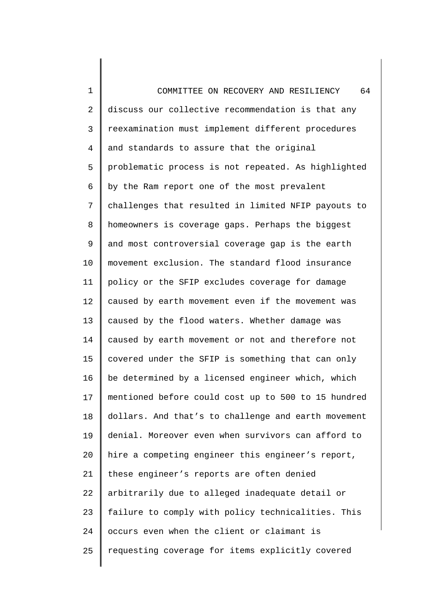1  $\mathcal{L}$ 3 4 5 6 7 8 9 10 11 12 13 14 15 16 17 18 19 20 21 22 23 24 25 COMMITTEE ON RECOVERY AND RESILIENCY 64 discuss our collective recommendation is that any reexamination must implement different procedures and standards to assure that the original problematic process is not repeated. As highlighted by the Ram report one of the most prevalent challenges that resulted in limited NFIP payouts to homeowners is coverage gaps. Perhaps the biggest and most controversial coverage gap is the earth movement exclusion. The standard flood insurance policy or the SFIP excludes coverage for damage caused by earth movement even if the movement was caused by the flood waters. Whether damage was caused by earth movement or not and therefore not covered under the SFIP is something that can only be determined by a licensed engineer which, which mentioned before could cost up to 500 to 15 hundred dollars. And that's to challenge and earth movement denial. Moreover even when survivors can afford to hire a competing engineer this engineer's report, these engineer's reports are often denied arbitrarily due to alleged inadequate detail or failure to comply with policy technicalities. This occurs even when the client or claimant is requesting coverage for items explicitly covered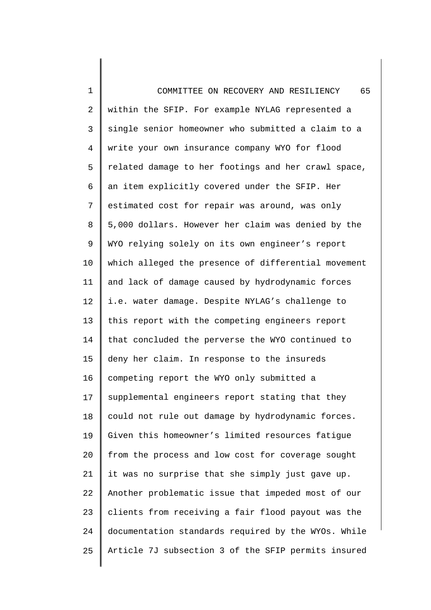| 1              | 65<br>COMMITTEE ON RECOVERY AND RESILIENCY          |
|----------------|-----------------------------------------------------|
| $\overline{2}$ | within the SFIP. For example NYLAG represented a    |
| 3              | single senior homeowner who submitted a claim to a  |
| $\overline{4}$ | write your own insurance company WYO for flood      |
| 5              | related damage to her footings and her crawl space, |
| 6              | an item explicitly covered under the SFIP. Her      |
| 7              | estimated cost for repair was around, was only      |
| 8              | 5,000 dollars. However her claim was denied by the  |
| 9              | WYO relying solely on its own engineer's report     |
| 10             | which alleged the presence of differential movement |
| 11             | and lack of damage caused by hydrodynamic forces    |
| 12             | i.e. water damage. Despite NYLAG's challenge to     |
| 13             | this report with the competing engineers report     |
| 14             | that concluded the perverse the WYO continued to    |
| 15             | deny her claim. In response to the insureds         |
| 16             | competing report the WYO only submitted a           |
| 17             | supplemental engineers report stating that they     |
| 18             | could not rule out damage by hydrodynamic forces.   |
| 19             | Given this homeowner's limited resources fatigue    |
| 20             | from the process and low cost for coverage sought   |
| 21             | it was no surprise that she simply just gave up.    |
| 22             | Another problematic issue that impeded most of our  |
| 23             | clients from receiving a fair flood payout was the  |
| 24             | documentation standards required by the WYOs. While |
| 25             | Article 7J subsection 3 of the SFIP permits insured |
|                |                                                     |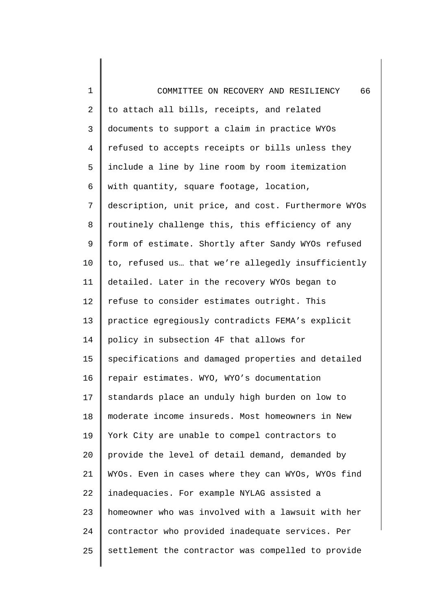1 2 3 4 5 6 7 8 9 10 11 12 13 14 15 16 17 18 19 20 21 22 23 24 25 COMMITTEE ON RECOVERY AND RESILIENCY 66 to attach all bills, receipts, and related documents to support a claim in practice WYOs refused to accepts receipts or bills unless they include a line by line room by room itemization with quantity, square footage, location, description, unit price, and cost. Furthermore WYOs routinely challenge this, this efficiency of any form of estimate. Shortly after Sandy WYOs refused to, refused us… that we're allegedly insufficiently detailed. Later in the recovery WYOs began to refuse to consider estimates outright. This practice egregiously contradicts FEMA's explicit policy in subsection 4F that allows for specifications and damaged properties and detailed repair estimates. WYO, WYO's documentation standards place an unduly high burden on low to moderate income insureds. Most homeowners in New York City are unable to compel contractors to provide the level of detail demand, demanded by WYOs. Even in cases where they can WYOs, WYOs find inadequacies. For example NYLAG assisted a homeowner who was involved with a lawsuit with her contractor who provided inadequate services. Per settlement the contractor was compelled to provide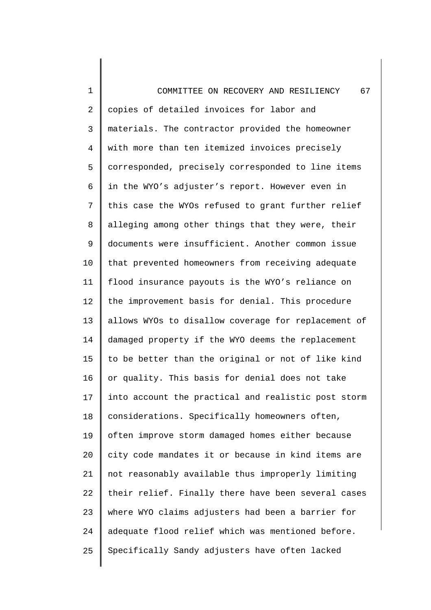1 2 3 4 5 6 7 8 9 10 11 12 13 14 15 16 17 18 19 20 21 22 23 24 25 COMMITTEE ON RECOVERY AND RESILIENCY 67 copies of detailed invoices for labor and materials. The contractor provided the homeowner with more than ten itemized invoices precisely corresponded, precisely corresponded to line items in the WYO's adjuster's report. However even in this case the WYOs refused to grant further relief alleging among other things that they were, their documents were insufficient. Another common issue that prevented homeowners from receiving adequate flood insurance payouts is the WYO's reliance on the improvement basis for denial. This procedure allows WYOs to disallow coverage for replacement of damaged property if the WYO deems the replacement to be better than the original or not of like kind or quality. This basis for denial does not take into account the practical and realistic post storm considerations. Specifically homeowners often, often improve storm damaged homes either because city code mandates it or because in kind items are not reasonably available thus improperly limiting their relief. Finally there have been several cases where WYO claims adjusters had been a barrier for adequate flood relief which was mentioned before. Specifically Sandy adjusters have often lacked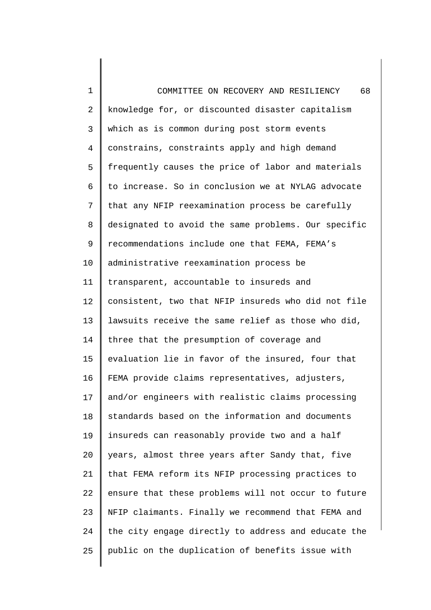1 2 3 4 5 6 7 8 9 10 11 12 13 14 15 16 17 18 19 20 21 22 23 24 25 COMMITTEE ON RECOVERY AND RESILIENCY 68 knowledge for, or discounted disaster capitalism which as is common during post storm events constrains, constraints apply and high demand frequently causes the price of labor and materials to increase. So in conclusion we at NYLAG advocate that any NFIP reexamination process be carefully designated to avoid the same problems. Our specific recommendations include one that FEMA, FEMA's administrative reexamination process be transparent, accountable to insureds and consistent, two that NFIP insureds who did not file lawsuits receive the same relief as those who did, three that the presumption of coverage and evaluation lie in favor of the insured, four that FEMA provide claims representatives, adjusters, and/or engineers with realistic claims processing standards based on the information and documents insureds can reasonably provide two and a half years, almost three years after Sandy that, five that FEMA reform its NFIP processing practices to ensure that these problems will not occur to future NFIP claimants. Finally we recommend that FEMA and the city engage directly to address and educate the public on the duplication of benefits issue with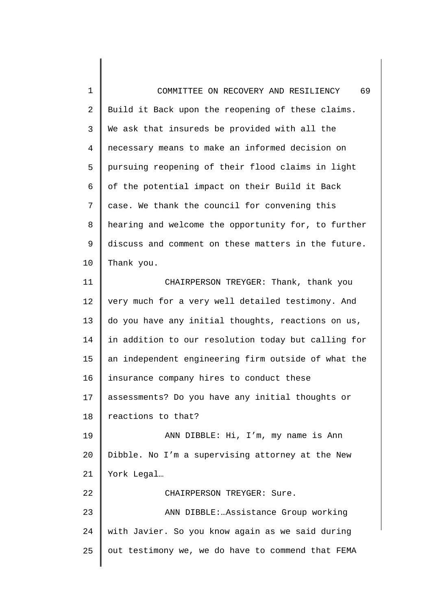1 2 3 4 5 6 7 8 9 10 11 12 13 14 15 16 17 18 19 20 21 22 23 24 25 COMMITTEE ON RECOVERY AND RESILIENCY 69 Build it Back upon the reopening of these claims. We ask that insureds be provided with all the necessary means to make an informed decision on pursuing reopening of their flood claims in light of the potential impact on their Build it Back case. We thank the council for convening this hearing and welcome the opportunity for, to further discuss and comment on these matters in the future. Thank you. CHAIRPERSON TREYGER: Thank, thank you very much for a very well detailed testimony. And do you have any initial thoughts, reactions on us, in addition to our resolution today but calling for an independent engineering firm outside of what the insurance company hires to conduct these assessments? Do you have any initial thoughts or reactions to that? ANN DIBBLE: Hi, I'm, my name is Ann Dibble. No I'm a supervising attorney at the New York Legal… CHAIRPERSON TREYGER: Sure. ANN DIBBLE:…Assistance Group working with Javier. So you know again as we said during out testimony we, we do have to commend that FEMA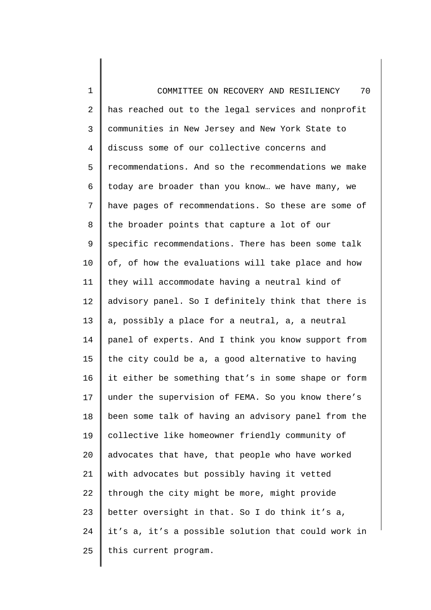1 2 3 4 5 6 7 8 9 10 11 12 13 14 15 16 17 18 19 20 21 22 23 24 25 COMMITTEE ON RECOVERY AND RESILIENCY 70 has reached out to the legal services and nonprofit communities in New Jersey and New York State to discuss some of our collective concerns and recommendations. And so the recommendations we make today are broader than you know… we have many, we have pages of recommendations. So these are some of the broader points that capture a lot of our specific recommendations. There has been some talk of, of how the evaluations will take place and how they will accommodate having a neutral kind of advisory panel. So I definitely think that there is a, possibly a place for a neutral, a, a neutral panel of experts. And I think you know support from the city could be a, a good alternative to having it either be something that's in some shape or form under the supervision of FEMA. So you know there's been some talk of having an advisory panel from the collective like homeowner friendly community of advocates that have, that people who have worked with advocates but possibly having it vetted through the city might be more, might provide better oversight in that. So I do think it's a, it's a, it's a possible solution that could work in this current program.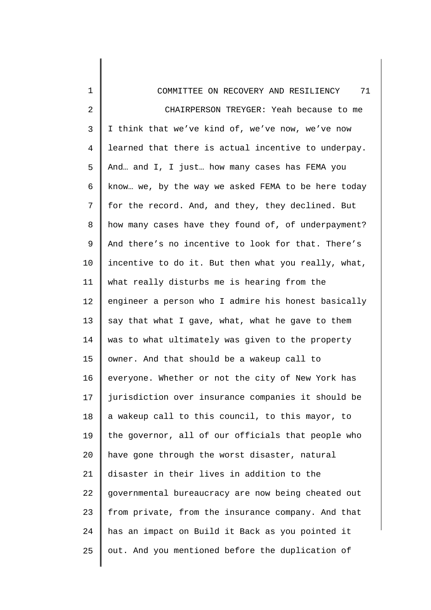| $\mathbf 1$ | 71<br>COMMITTEE ON RECOVERY AND RESILIENCY          |
|-------------|-----------------------------------------------------|
| 2           | CHAIRPERSON TREYGER: Yeah because to me             |
| 3           | I think that we've kind of, we've now, we've now    |
| 4           | learned that there is actual incentive to underpay. |
| 5           | And and I, I just how many cases has FEMA you       |
| 6           | know we, by the way we asked FEMA to be here today  |
| 7           | for the record. And, and they, they declined. But   |
| 8           | how many cases have they found of, of underpayment? |
| 9           | And there's no incentive to look for that. There's  |
| $10 \,$     | incentive to do it. But then what you really, what, |
| 11          | what really disturbs me is hearing from the         |
| 12          | engineer a person who I admire his honest basically |
| 13          | say that what I gave, what, what he gave to them    |
| 14          | was to what ultimately was given to the property    |
| 15          | owner. And that should be a wakeup call to          |
| 16          | everyone. Whether or not the city of New York has   |
| 17          | jurisdiction over insurance companies it should be  |
| 18          | a wakeup call to this council, to this mayor, to    |
| 19          | the governor, all of our officials that people who  |
| 20          | have gone through the worst disaster, natural       |
| 21          | disaster in their lives in addition to the          |
| 22          | governmental bureaucracy are now being cheated out  |
| 23          | from private, from the insurance company. And that  |
| 24          | has an impact on Build it Back as you pointed it    |
| 25          | out. And you mentioned before the duplication of    |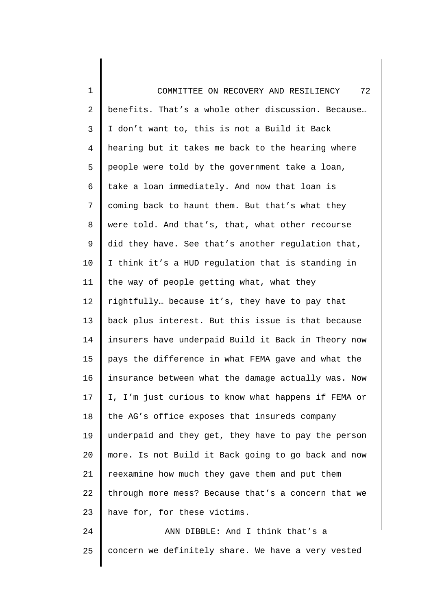| $\mathbf 1$ | 72<br>COMMITTEE ON RECOVERY AND RESILIENCY          |
|-------------|-----------------------------------------------------|
| 2           | benefits. That's a whole other discussion. Because  |
| 3           | I don't want to, this is not a Build it Back        |
| 4           | hearing but it takes me back to the hearing where   |
| 5           | people were told by the government take a loan,     |
| 6           | take a loan immediately. And now that loan is       |
| 7           | coming back to haunt them. But that's what they     |
| 8           | were told. And that's, that, what other recourse    |
| 9           | did they have. See that's another regulation that,  |
| 10          | I think it's a HUD regulation that is standing in   |
| 11          | the way of people getting what, what they           |
| 12          | rightfully because it's, they have to pay that      |
| 13          | back plus interest. But this issue is that because  |
| 14          | insurers have underpaid Build it Back in Theory now |
| 15          | pays the difference in what FEMA gave and what the  |
| 16          | insurance between what the damage actually was. Now |
| 17          | I, I'm just curious to know what happens if FEMA or |
| 18          | the AG's office exposes that insureds company       |
| 19          | underpaid and they get, they have to pay the person |
| 20          | more. Is not Build it Back going to go back and now |
| 21          | reexamine how much they gave them and put them      |
| 22          | through more mess? Because that's a concern that we |
| 23          | have for, for these victims.                        |
| 24          | ANN DIBBLE: And I think that's a                    |
| 25          | concern we definitely share. We have a very vested  |
|             |                                                     |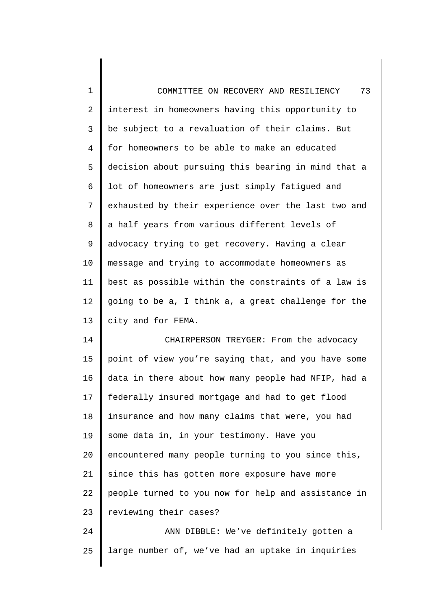1 2 3 4 5 6 7 8 9 10 11 12 13 COMMITTEE ON RECOVERY AND RESILIENCY 73 interest in homeowners having this opportunity to be subject to a revaluation of their claims. But for homeowners to be able to make an educated decision about pursuing this bearing in mind that a lot of homeowners are just simply fatigued and exhausted by their experience over the last two and a half years from various different levels of advocacy trying to get recovery. Having a clear message and trying to accommodate homeowners as best as possible within the constraints of a law is going to be a, I think a, a great challenge for the city and for FEMA.

14 15 16 17 18 19 20 21 22 23 CHAIRPERSON TREYGER: From the advocacy point of view you're saying that, and you have some data in there about how many people had NFIP, had a federally insured mortgage and had to get flood insurance and how many claims that were, you had some data in, in your testimony. Have you encountered many people turning to you since this, since this has gotten more exposure have more people turned to you now for help and assistance in reviewing their cases?

24 25 ANN DIBBLE: We've definitely gotten a large number of, we've had an uptake in inquiries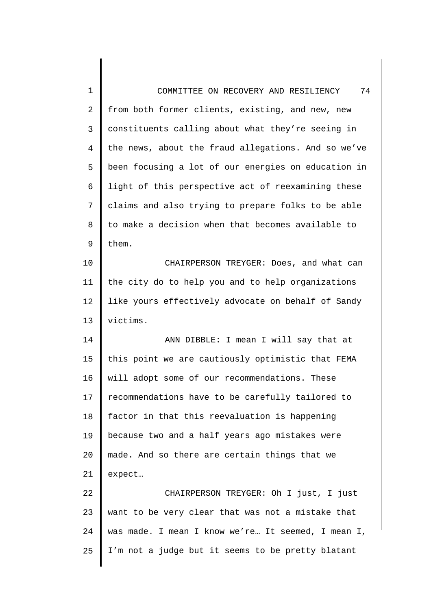| 1              | 74<br>COMMITTEE ON RECOVERY AND RESILIENCY          |
|----------------|-----------------------------------------------------|
| 2              | from both former clients, existing, and new, new    |
| 3              | constituents calling about what they're seeing in   |
| $\overline{4}$ | the news, about the fraud allegations. And so we've |
| 5              | been focusing a lot of our energies on education in |
| 6              | light of this perspective act of reexamining these  |
| 7              | claims and also trying to prepare folks to be able  |
| 8              | to make a decision when that becomes available to   |
| 9              | them.                                               |
| 10             | CHAIRPERSON TREYGER: Does, and what can             |
| 11             | the city do to help you and to help organizations   |
| 12             | like yours effectively advocate on behalf of Sandy  |
| 13             | victims.                                            |
| 14             | ANN DIBBLE: I mean I will say that at               |
| 15             | this point we are cautiously optimistic that FEMA   |
| 16             | will adopt some of our recommendations. These       |
| 17             | recommendations have to be carefully tailored to    |
| 18             | factor in that this reevaluation is happening       |
| 19             | because two and a half years ago mistakes were      |
| 20             | made. And so there are certain things that we       |
| 21             | expect                                              |
| 22             | CHAIRPERSON TREYGER: Oh I just, I just              |
| 23             | want to be very clear that was not a mistake that   |
| 24             | was made. I mean I know we're It seemed, I mean I,  |
| 25             | I'm not a judge but it seems to be pretty blatant   |
|                |                                                     |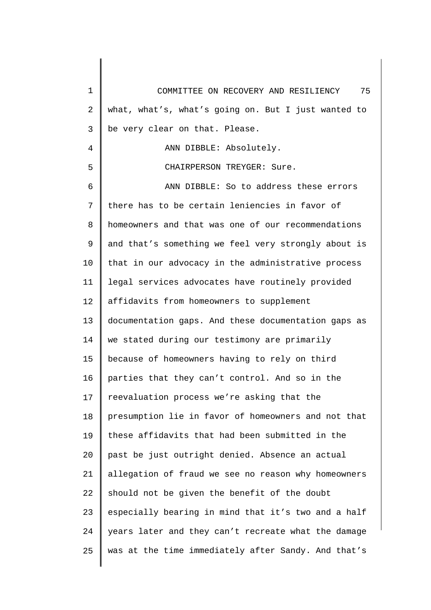| 1  | 75<br>COMMITTEE ON RECOVERY AND RESILIENCY          |
|----|-----------------------------------------------------|
| 2  | what, what's, what's going on. But I just wanted to |
| 3  | be very clear on that. Please.                      |
| 4  | ANN DIBBLE: Absolutely.                             |
| 5  | CHAIRPERSON TREYGER: Sure.                          |
| 6  | ANN DIBBLE: So to address these errors              |
| 7  | there has to be certain leniencies in favor of      |
| 8  | homeowners and that was one of our recommendations  |
| 9  | and that's something we feel very strongly about is |
| 10 | that in our advocacy in the administrative process  |
| 11 | legal services advocates have routinely provided    |
| 12 | affidavits from homeowners to supplement            |
| 13 | documentation gaps. And these documentation gaps as |
| 14 | we stated during our testimony are primarily        |
| 15 | because of homeowners having to rely on third       |
| 16 | parties that they can't control. And so in the      |
| 17 | reevaluation process we're asking that the          |
| 18 | presumption lie in favor of homeowners and not that |
| 19 | these affidavits that had been submitted in the     |
| 20 | past be just outright denied. Absence an actual     |
| 21 | allegation of fraud we see no reason why homeowners |
| 22 | should not be given the benefit of the doubt        |
| 23 | especially bearing in mind that it's two and a half |
| 24 | years later and they can't recreate what the damage |
| 25 | was at the time immediately after Sandy. And that's |
|    |                                                     |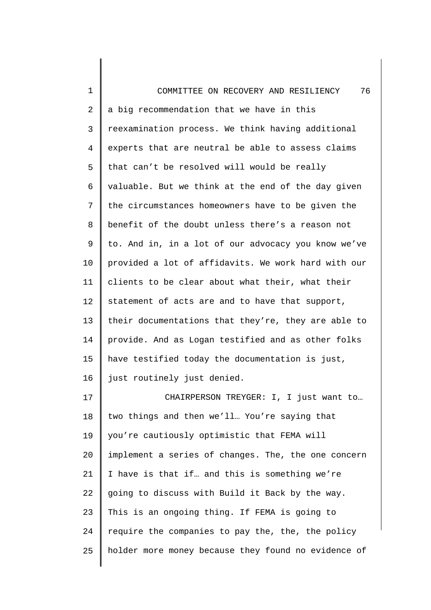| $\mathbf 1$ | 76<br>COMMITTEE ON RECOVERY AND RESILIENCY          |
|-------------|-----------------------------------------------------|
| 2           | a big recommendation that we have in this           |
| 3           | reexamination process. We think having additional   |
| 4           | experts that are neutral be able to assess claims   |
| 5           | that can't be resolved will would be really         |
| 6           | valuable. But we think at the end of the day given  |
| 7           | the circumstances homeowners have to be given the   |
| 8           | benefit of the doubt unless there's a reason not    |
| 9           | to. And in, in a lot of our advocacy you know we've |
| 10          | provided a lot of affidavits. We work hard with our |
| 11          | clients to be clear about what their, what their    |
| 12          | statement of acts are and to have that support,     |
| 13          | their documentations that they're, they are able to |
| 14          | provide. And as Logan testified and as other folks  |
| 15          | have testified today the documentation is just,     |
| 16          | just routinely just denied.                         |
| 17          | CHAIRPERSON TREYGER: I, I just want to              |
| 18          | two things and then we'll You're saying that        |
| 19          | you're cautiously optimistic that FEMA will         |
| 20          | implement a series of changes. The, the one concern |
| 21          | I have is that if and this is something we're       |
| 22          | going to discuss with Build it Back by the way.     |
| 23          | This is an ongoing thing. If FEMA is going to       |
| 24          | require the companies to pay the, the, the policy   |
| 25          | holder more money because they found no evidence of |
|             |                                                     |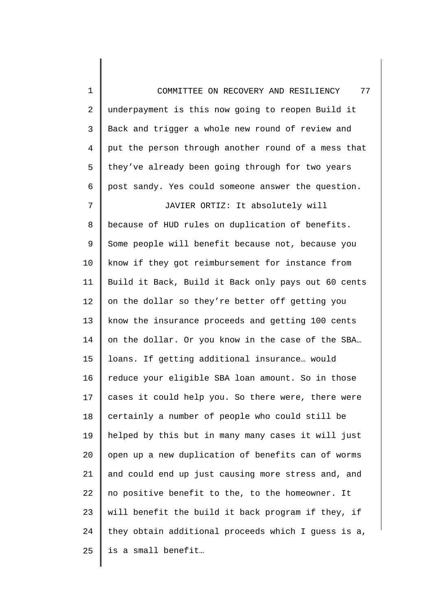1 2 3 4 5 6 7 8 9 10 11 12 13 14 15 16 17 18 19 20 21 22 23 24 25 COMMITTEE ON RECOVERY AND RESILIENCY 77 underpayment is this now going to reopen Build it Back and trigger a whole new round of review and put the person through another round of a mess that they've already been going through for two years post sandy. Yes could someone answer the question. JAVIER ORTIZ: It absolutely will because of HUD rules on duplication of benefits. Some people will benefit because not, because you know if they got reimbursement for instance from Build it Back, Build it Back only pays out 60 cents on the dollar so they're better off getting you know the insurance proceeds and getting 100 cents on the dollar. Or you know in the case of the SBA… loans. If getting additional insurance… would reduce your eligible SBA loan amount. So in those cases it could help you. So there were, there were certainly a number of people who could still be helped by this but in many many cases it will just open up a new duplication of benefits can of worms and could end up just causing more stress and, and no positive benefit to the, to the homeowner. It will benefit the build it back program if they, if they obtain additional proceeds which I guess is a, is a small benefit…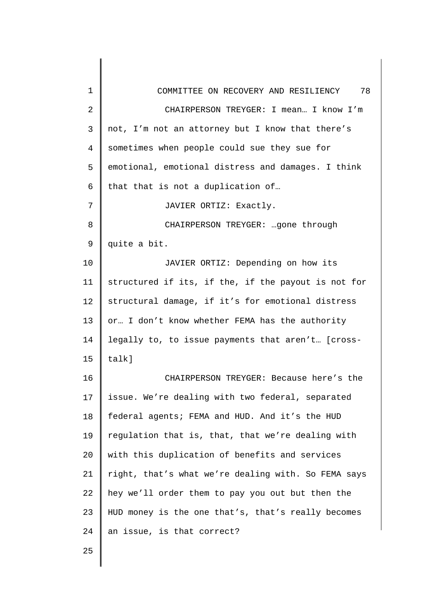| 1              | 78<br>COMMITTEE ON RECOVERY AND RESILIENCY          |
|----------------|-----------------------------------------------------|
| 2              | CHAIRPERSON TREYGER: I mean I know I'm              |
| 3              | not, I'm not an attorney but I know that there's    |
| $\overline{4}$ | sometimes when people could sue they sue for        |
| 5              | emotional, emotional distress and damages. I think  |
| 6              | that that is not a duplication of                   |
| 7              | JAVIER ORTIZ: Exactly.                              |
| 8              | CHAIRPERSON TREYGER: gone through                   |
| 9              | quite a bit.                                        |
| 10             | JAVIER ORTIZ: Depending on how its                  |
| 11             | structured if its, if the, if the payout is not for |
| 12             | structural damage, if it's for emotional distress   |
| 13             | or I don't know whether FEMA has the authority      |
| 14             | legally to, to issue payments that aren't [cross-   |
| 15             | talk]                                               |
| 16             | CHAIRPERSON TREYGER: Because here's the             |
| 17             | issue. We're dealing with two federal, separated    |
| 18             | federal agents; FEMA and HUD. And it's the HUD      |
| 19             | regulation that is, that, that we're dealing with   |
| 20             | with this duplication of benefits and services      |
| 21             | right, that's what we're dealing with. So FEMA says |
| 22             | hey we'll order them to pay you out but then the    |
| 23             | HUD money is the one that's, that's really becomes  |
| 24             | an issue, is that correct?                          |
| 25             |                                                     |
|                |                                                     |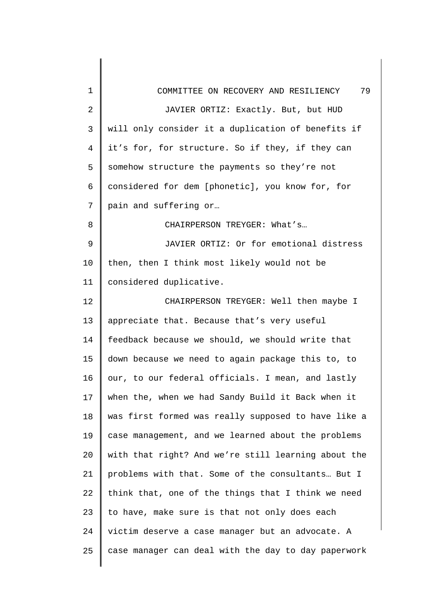| 1              | 79<br>COMMITTEE ON RECOVERY AND RESILIENCY          |
|----------------|-----------------------------------------------------|
| $\overline{2}$ | JAVIER ORTIZ: Exactly. But, but HUD                 |
| 3              | will only consider it a duplication of benefits if  |
| $\overline{4}$ | it's for, for structure. So if they, if they can    |
| 5              | somehow structure the payments so they're not       |
| 6              | considered for dem [phonetic], you know for, for    |
| 7              | pain and suffering or                               |
| 8              | CHAIRPERSON TREYGER: What's                         |
| 9              | JAVIER ORTIZ: Or for emotional distress             |
| 10             | then, then I think most likely would not be         |
| 11             | considered duplicative.                             |
| 12             | CHAIRPERSON TREYGER: Well then maybe I              |
| 13             | appreciate that. Because that's very useful         |
| 14             | feedback because we should, we should write that    |
| 15             | down because we need to again package this to, to   |
| 16             | our, to our federal officials. I mean, and lastly   |
| 17             | when the, when we had Sandy Build it Back when it   |
| 18             | was first formed was really supposed to have like a |
| 19             | case management, and we learned about the problems  |
| 20             | with that right? And we're still learning about the |
| 21             | problems with that. Some of the consultants But I   |
| 22             | think that, one of the things that I think we need  |
| 23             | to have, make sure is that not only does each       |
| 24             | victim deserve a case manager but an advocate. A    |
| 25             | case manager can deal with the day to day paperwork |
|                |                                                     |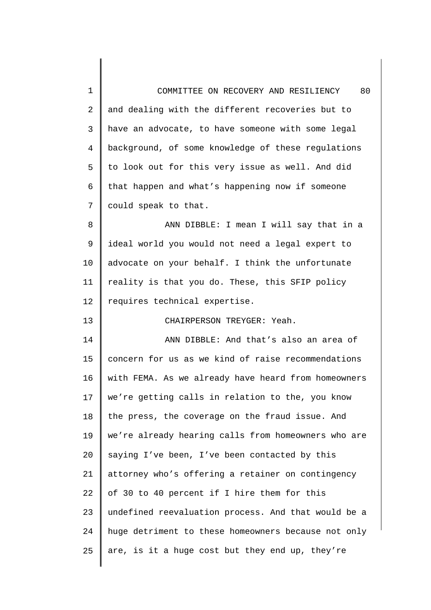| $\mathbf 1$    | 80<br>COMMITTEE ON RECOVERY AND RESILIENCY          |
|----------------|-----------------------------------------------------|
| 2              | and dealing with the different recoveries but to    |
| 3              | have an advocate, to have someone with some legal   |
| $\overline{4}$ | background, of some knowledge of these regulations  |
| 5              | to look out for this very issue as well. And did    |
| 6              | that happen and what's happening now if someone     |
| 7              | could speak to that.                                |
| 8              | ANN DIBBLE: I mean I will say that in a             |
| 9              | ideal world you would not need a legal expert to    |
| 10             | advocate on your behalf. I think the unfortunate    |
| 11             | reality is that you do. These, this SFIP policy     |
| 12             | requires technical expertise.                       |
| 13             | CHAIRPERSON TREYGER: Yeah.                          |
|                |                                                     |
| 14             | ANN DIBBLE: And that's also an area of              |
| 15             | concern for us as we kind of raise recommendations  |
| 16             | with FEMA. As we already have heard from homeowners |
| 17             | we're getting calls in relation to the, you know    |
| 18             | the press, the coverage on the fraud issue. And     |
| 19             | we're already hearing calls from homeowners who are |
| 20             | saying I've been, I've been contacted by this       |
| 21             | attorney who's offering a retainer on contingency   |
| 22             | of 30 to 40 percent if I hire them for this         |
| 23             | undefined reevaluation process. And that would be a |
| 24             | huge detriment to these homeowners because not only |
| 25             | are, is it a huge cost but they end up, they're     |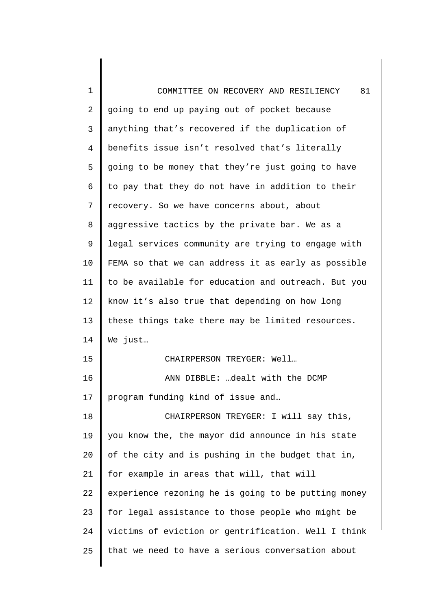| $\mathbf 1$    | 81<br>COMMITTEE ON RECOVERY AND RESILIENCY          |
|----------------|-----------------------------------------------------|
| $\overline{2}$ | going to end up paying out of pocket because        |
| 3              | anything that's recovered if the duplication of     |
| $\overline{4}$ | benefits issue isn't resolved that's literally      |
| 5              | going to be money that they're just going to have   |
| 6              | to pay that they do not have in addition to their   |
| 7              | recovery. So we have concerns about, about          |
| 8              | aggressive tactics by the private bar. We as a      |
| 9              | legal services community are trying to engage with  |
| 10             | FEMA so that we can address it as early as possible |
| 11             | to be available for education and outreach. But you |
| 12             | know it's also true that depending on how long      |
| 13             | these things take there may be limited resources.   |
| 14             | We just                                             |
| 15             | CHAIRPERSON TREYGER: Well                           |
| 16             | ANN DIBBLE: dealt with the DCMP                     |
| 17             | program funding kind of issue and                   |
| 18             | CHAIRPERSON TREYGER: I will say this,               |
| 19             | you know the, the mayor did announce in his state   |
| 20             | of the city and is pushing in the budget that in,   |
| 21             | for example in areas that will, that will           |
| 22             | experience rezoning he is going to be putting money |
| 23             | for legal assistance to those people who might be   |
| 24             | victims of eviction or gentrification. Well I think |
| 25             | that we need to have a serious conversation about   |
|                |                                                     |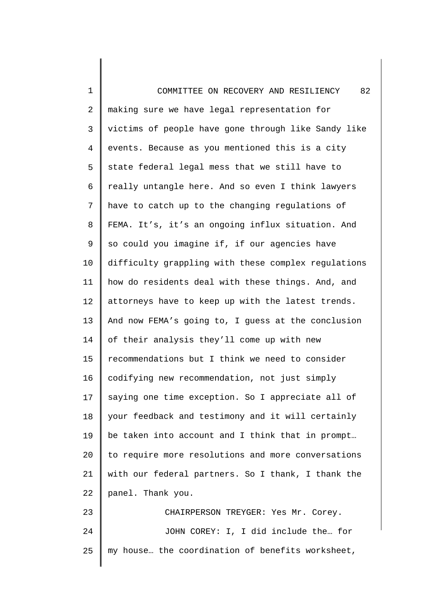| $\mathbf 1$    | 82<br>COMMITTEE ON RECOVERY AND RESILIENCY          |
|----------------|-----------------------------------------------------|
| $\overline{a}$ | making sure we have legal representation for        |
| 3              | victims of people have gone through like Sandy like |
| $\overline{4}$ | events. Because as you mentioned this is a city     |
| 5              | state federal legal mess that we still have to      |
| 6              | really untangle here. And so even I think lawyers   |
| 7              | have to catch up to the changing regulations of     |
| 8              | FEMA. It's, it's an ongoing influx situation. And   |
| $\mathsf 9$    | so could you imagine if, if our agencies have       |
| 10             | difficulty grappling with these complex regulations |
| 11             | how do residents deal with these things. And, and   |
| 12             | attorneys have to keep up with the latest trends.   |
| 13             | And now FEMA's going to, I guess at the conclusion  |
| 14             | of their analysis they'll come up with new          |
| 15             | recommendations but I think we need to consider     |
| 16             | codifying new recommendation, not just simply       |
| 17             | saying one time exception. So I appreciate all of   |
| 18             | your feedback and testimony and it will certainly   |
| 19             | be taken into account and I think that in prompt    |
| 20             | to require more resolutions and more conversations  |
| 21             | with our federal partners. So I thank, I thank the  |
| 22             | panel. Thank you.                                   |
| 23             | CHAIRPERSON TREYGER: Yes Mr. Corey.                 |
| 24             | JOHN COREY: I, I did include the for                |
| 25             | my house the coordination of benefits worksheet,    |

 $\overline{\phantom{a}}$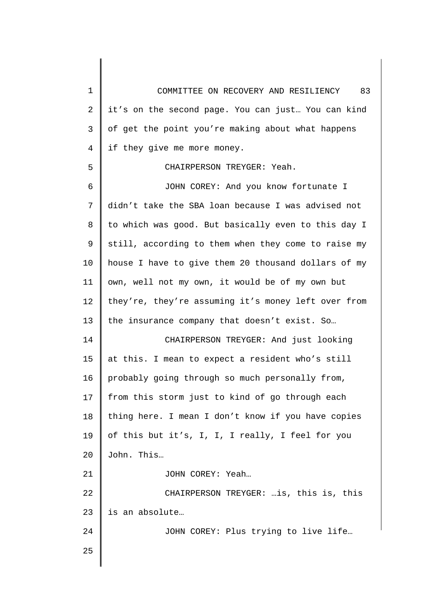1 2 3 4 5 6 7 8 9 10 11 12 13 14 15 16 17 18 19  $2.0$ 21 22 23 24 25 COMMITTEE ON RECOVERY AND RESILIENCY 83 it's on the second page. You can just… You can kind of get the point you're making about what happens if they give me more money. CHAIRPERSON TREYGER: Yeah. JOHN COREY: And you know fortunate I didn't take the SBA loan because I was advised not to which was good. But basically even to this day I still, according to them when they come to raise my house I have to give them 20 thousand dollars of my own, well not my own, it would be of my own but they're, they're assuming it's money left over from the insurance company that doesn't exist. So… CHAIRPERSON TREYGER: And just looking at this. I mean to expect a resident who's still probably going through so much personally from, from this storm just to kind of go through each thing here. I mean I don't know if you have copies of this but it's, I, I, I really, I feel for you John. This… JOHN COREY: Yeah… CHAIRPERSON TREYGER: …is, this is, this is an absolute… JOHN COREY: Plus trying to live life…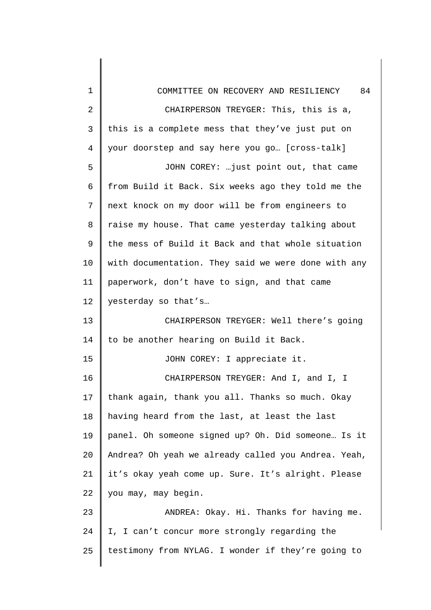| 1              | COMMITTEE ON RECOVERY AND RESILIENCY 84             |
|----------------|-----------------------------------------------------|
| $\overline{2}$ | CHAIRPERSON TREYGER: This, this is a,               |
| 3              | this is a complete mess that they've just put on    |
| $\overline{4}$ | your doorstep and say here you go [cross-talk]      |
| 5              | JOHN COREY:  just point out, that came              |
| 6              | from Build it Back. Six weeks ago they told me the  |
| 7              | next knock on my door will be from engineers to     |
| 8              | raise my house. That came yesterday talking about   |
| 9              | the mess of Build it Back and that whole situation  |
| 10             | with documentation. They said we were done with any |
| 11             | paperwork, don't have to sign, and that came        |
| 12             | yesterday so that's                                 |
| 13             | CHAIRPERSON TREYGER: Well there's going             |
| 14             | to be another hearing on Build it Back.             |
| 15             | JOHN COREY: I appreciate it.                        |
| 16             | CHAIRPERSON TREYGER: And I, and I, I                |
| 17             | thank again, thank you all. Thanks so much. Okay    |
| 18             | having heard from the last, at least the last       |
| 19             | panel. Oh someone signed up? Oh. Did someone Is it  |
| 20             | Andrea? Oh yeah we already called you Andrea. Yeah, |
| 21             | it's okay yeah come up. Sure. It's alright. Please  |
| 22             | you may, may begin.                                 |
| 23             | ANDREA: Okay. Hi. Thanks for having me.             |
| 24             | I, I can't concur more strongly regarding the       |
| 25             | testimony from NYLAG. I wonder if they're going to  |
|                |                                                     |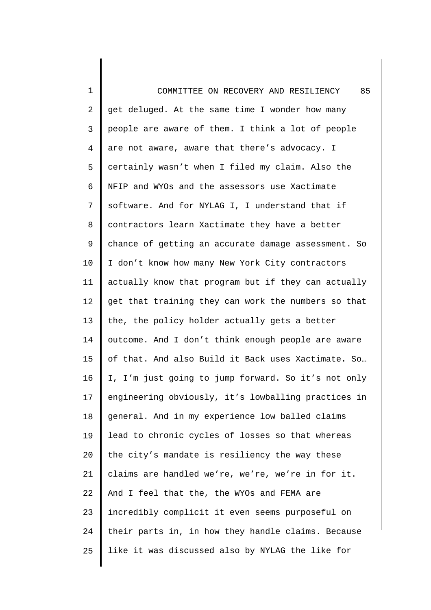1 2 3 4 5 6 7 8 9 10 11 12 13 14 15 16 17 18 19 20 21 22 23 24 25 COMMITTEE ON RECOVERY AND RESILIENCY 85 get deluged. At the same time I wonder how many people are aware of them. I think a lot of people are not aware, aware that there's advocacy. I certainly wasn't when I filed my claim. Also the NFIP and WYOs and the assessors use Xactimate software. And for NYLAG I, I understand that if contractors learn Xactimate they have a better chance of getting an accurate damage assessment. So I don't know how many New York City contractors actually know that program but if they can actually get that training they can work the numbers so that the, the policy holder actually gets a better outcome. And I don't think enough people are aware of that. And also Build it Back uses Xactimate. So… I, I'm just going to jump forward. So it's not only engineering obviously, it's lowballing practices in general. And in my experience low balled claims lead to chronic cycles of losses so that whereas the city's mandate is resiliency the way these claims are handled we're, we're, we're in for it. And I feel that the, the WYOs and FEMA are incredibly complicit it even seems purposeful on their parts in, in how they handle claims. Because like it was discussed also by NYLAG the like for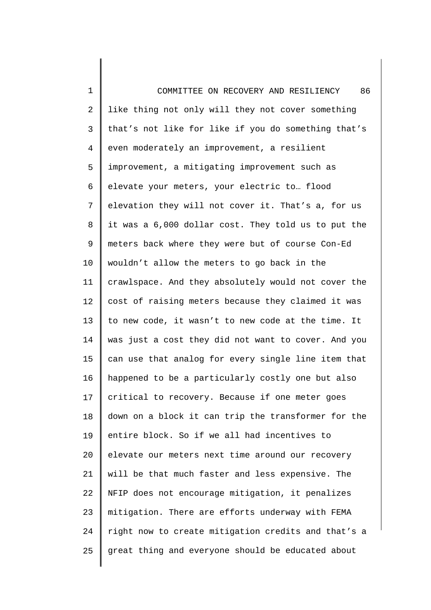1 2 3 4 5 6 7 8 9 10 11 12 13 14 15 16 17 18 19 20 21 22 23 24 25 COMMITTEE ON RECOVERY AND RESILIENCY 86 like thing not only will they not cover something that's not like for like if you do something that's even moderately an improvement, a resilient improvement, a mitigating improvement such as elevate your meters, your electric to… flood elevation they will not cover it. That's a, for us it was a 6,000 dollar cost. They told us to put the meters back where they were but of course Con-Ed wouldn't allow the meters to go back in the crawlspace. And they absolutely would not cover the cost of raising meters because they claimed it was to new code, it wasn't to new code at the time. It was just a cost they did not want to cover. And you can use that analog for every single line item that happened to be a particularly costly one but also critical to recovery. Because if one meter goes down on a block it can trip the transformer for the entire block. So if we all had incentives to elevate our meters next time around our recovery will be that much faster and less expensive. The NFIP does not encourage mitigation, it penalizes mitigation. There are efforts underway with FEMA right now to create mitigation credits and that's a great thing and everyone should be educated about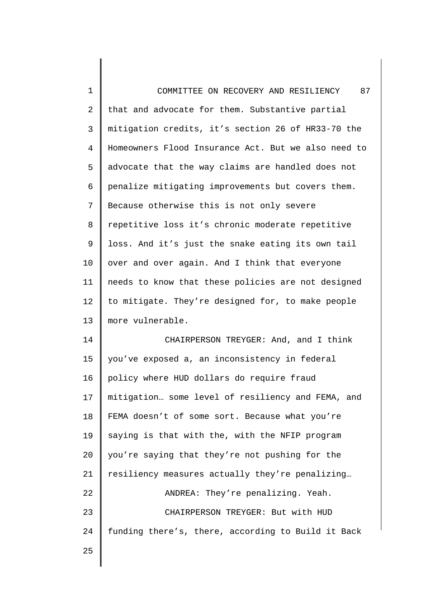1 2 3 4 5 6 7 8 9 10 11 12 13 14 COMMITTEE ON RECOVERY AND RESILIENCY 87 that and advocate for them. Substantive partial mitigation credits, it's section 26 of HR33-70 the Homeowners Flood Insurance Act. But we also need to advocate that the way claims are handled does not penalize mitigating improvements but covers them. Because otherwise this is not only severe repetitive loss it's chronic moderate repetitive loss. And it's just the snake eating its own tail over and over again. And I think that everyone needs to know that these policies are not designed to mitigate. They're designed for, to make people more vulnerable. CHAIRPERSON TREYGER: And, and I think

15 16 17 18 19 20 21 22 23 24 25 you've exposed a, an inconsistency in federal policy where HUD dollars do require fraud mitigation… some level of resiliency and FEMA, and FEMA doesn't of some sort. Because what you're saying is that with the, with the NFIP program you're saying that they're not pushing for the resiliency measures actually they're penalizing… ANDREA: They're penalizing. Yeah. CHAIRPERSON TREYGER: But with HUD funding there's, there, according to Build it Back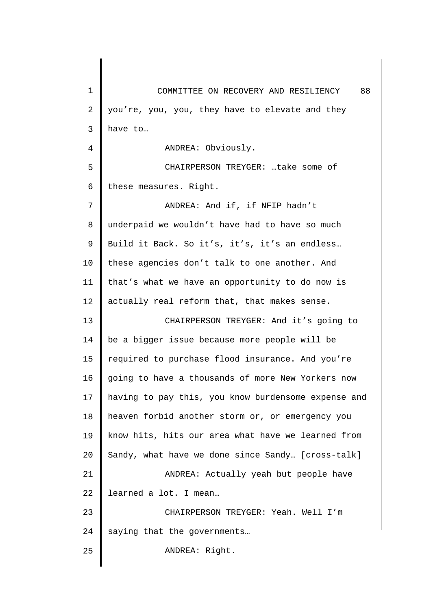1 2 3 4 5 6 7 8 9 10 11 12 13 14 15 16 17 18 19 20 21 22 23 24 25 COMMITTEE ON RECOVERY AND RESILIENCY 88 you're, you, you, they have to elevate and they have to… ANDREA: Obviously. CHAIRPERSON TREYGER: …take some of these measures. Right. ANDREA: And if, if NFIP hadn't underpaid we wouldn't have had to have so much Build it Back. So it's, it's, it's an endless… these agencies don't talk to one another. And that's what we have an opportunity to do now is actually real reform that, that makes sense. CHAIRPERSON TREYGER: And it's going to be a bigger issue because more people will be required to purchase flood insurance. And you're going to have a thousands of more New Yorkers now having to pay this, you know burdensome expense and heaven forbid another storm or, or emergency you know hits, hits our area what have we learned from Sandy, what have we done since Sandy… [cross-talk] ANDREA: Actually yeah but people have learned a lot. I mean… CHAIRPERSON TREYGER: Yeah. Well I'm saying that the governments… ANDREA: Right.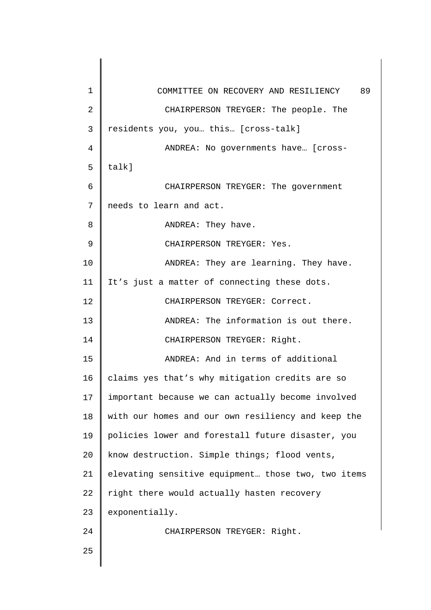| $\mathbf 1$ | COMMITTEE ON RECOVERY AND RESILIENCY 89            |
|-------------|----------------------------------------------------|
| 2           | CHAIRPERSON TREYGER: The people. The               |
| 3           | residents you, you this [cross-talk]               |
| 4           | ANDREA: No governments have [cross-                |
| 5           | talk]                                              |
| 6           | CHAIRPERSON TREYGER: The government                |
| 7           | needs to learn and act.                            |
| 8           | ANDREA: They have.                                 |
| 9           | CHAIRPERSON TREYGER: Yes.                          |
| 10          | ANDREA: They are learning. They have.              |
| 11          | It's just a matter of connecting these dots.       |
| 12          | CHAIRPERSON TREYGER: Correct.                      |
| 13          | ANDREA: The information is out there.              |
| 14          | CHAIRPERSON TREYGER: Right.                        |
| 15          | ANDREA: And in terms of additional                 |
| 16          | claims yes that's why mitigation credits are so    |
| 17          | important because we can actually become involved  |
| 18          | with our homes and our own resiliency and keep the |
| 19          | policies lower and forestall future disaster, you  |
| 20          | know destruction. Simple things; flood vents,      |
| 21          | elevating sensitive equipment those two, two items |
| 22          | right there would actually hasten recovery         |
| 23          | exponentially.                                     |
| 24          | CHAIRPERSON TREYGER: Right.                        |
| 25          |                                                    |
|             |                                                    |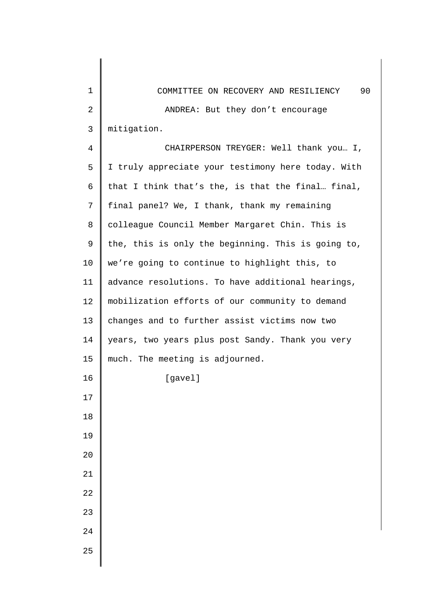| 1              | 90<br>COMMITTEE ON RECOVERY AND RESILIENCY         |
|----------------|----------------------------------------------------|
| $\overline{2}$ | ANDREA: But they don't encourage                   |
| $\mathsf{3}$   | mitigation.                                        |
| 4              | CHAIRPERSON TREYGER: Well thank you I,             |
| 5              | I truly appreciate your testimony here today. With |
| 6              | that I think that's the, is that the final final,  |
| 7              | final panel? We, I thank, thank my remaining       |
| 8              | colleague Council Member Margaret Chin. This is    |
| 9              | the, this is only the beginning. This is going to, |
| 10             | we're going to continue to highlight this, to      |
| 11             | advance resolutions. To have additional hearings,  |
| 12             | mobilization efforts of our community to demand    |
| 13             | changes and to further assist victims now two      |
| 14             | years, two years plus post Sandy. Thank you very   |
| 15             | much. The meeting is adjourned.                    |
| 16             | [gavel]                                            |
| 17             |                                                    |
| 18             |                                                    |
| 19             |                                                    |
| $20$           |                                                    |
| $21\,$         |                                                    |
| 22             |                                                    |
| 23             |                                                    |
| 24             |                                                    |
| 25             |                                                    |